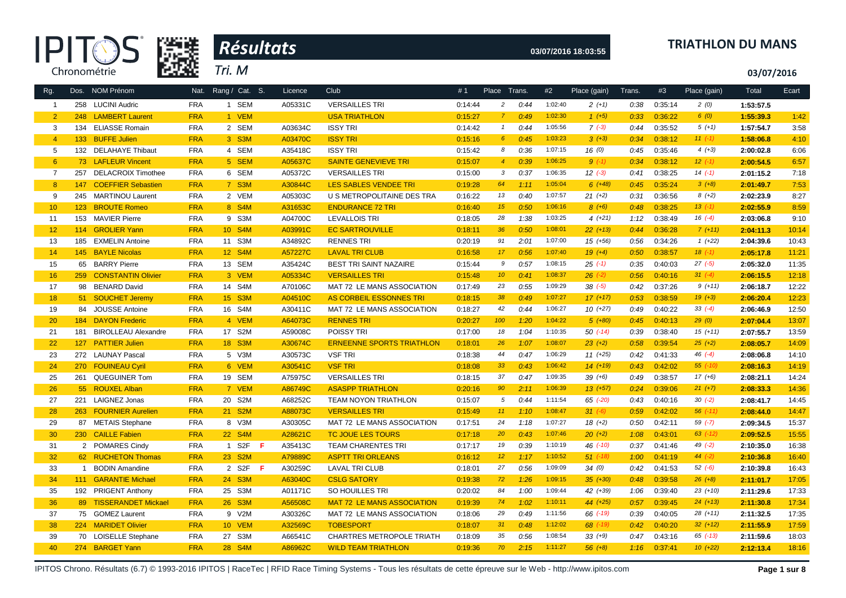



### **03/07/2016 18:03:55 TRIATHLON DU MANS**

**03/07/2016**

| Rg.            |     | Dos. NOM Prénom            |            | Nat. Rang / Cat. S. | Licence | Club                              | #1      | Place Trans.    |      | #2      | Place (gain) | Trans. | #3      | Place (gain) | Total     | Ecart |
|----------------|-----|----------------------------|------------|---------------------|---------|-----------------------------------|---------|-----------------|------|---------|--------------|--------|---------|--------------|-----------|-------|
| $\overline{1}$ |     | 258 LUCINI Audric          | <b>FRA</b> | 1 SEM               | A05331C | <b>VERSAILLES TRI</b>             | 0:14:44 | $\overline{a}$  | 0:44 | 1:02:40 | $2(+1)$      | 0:38   | 0:35:14 | 2(0)         | 1:53:57.5 |       |
| $\overline{2}$ |     | 248 LAMBERT Laurent        | <b>FRA</b> | 1 VEM               |         | <b>USA TRIATHLON</b>              | 0:15:27 | $\overline{7}$  | 0:49 | 1:02:30 | $1 (+5)$     | 0:33   | 0:36:22 | 6(0)         | 1:55:39.3 | 1:42  |
| 3              |     | 134 ELIASSE Romain         | <b>FRA</b> | 2 SEM               | A03634C | <b>ISSY TRI</b>                   | 0:14:42 | $\overline{1}$  | 0:44 | 1:05:56 | $7(-3)$      | 0:44   | 0:35:52 | $5(+1)$      | 1:57:54.7 | 3:58  |
| $\overline{4}$ |     | 133 BUFFE Julien           | <b>FRA</b> | 3 S3M               | A03470C | <b>ISSY TRI</b>                   | 0:15:16 | $6^{\circ}$     | 0:45 | 1:03:23 | $3(+3)$      | 0:34   | 0:38:12 | $11(-1)$     | 1:58:06.8 | 4:10  |
| 5              |     | 132 DELAHAYE Thibaut       | <b>FRA</b> | 4 SEM               | A35418C | <b>ISSY TRI</b>                   | 0:15:42 | 8               | 0:36 | 1:07:15 | 16(0)        | 0:45   | 0:35:46 | $4(+3)$      | 2:00:02.8 | 6:06  |
| $6^{\circ}$    |     | 73 LAFLEUR Vincent         | <b>FRA</b> | 5 SEM               | A05637C | <b>SAINTE GENEVIEVE TRI</b>       | 0:15:07 | $\overline{4}$  | 0:39 | 1:06:25 | $9(-1)$      | 0:34   | 0:38:12 | $12$ $(-1)$  | 2:00:54.5 | 6:57  |
| $\overline{7}$ |     | 257 DELACROIX Timothee     | <b>FRA</b> | 6 SEM               | A05372C | <b>VERSAILLES TRI</b>             | 0:15:00 | 3               | 0:37 | 1:06:35 | $12 (-3)$    | 0:41   | 0:38:25 | $14(-1)$     | 2:01:15.2 | 7:18  |
| 8              | 147 | <b>COEFFIER Sebastien</b>  | <b>FRA</b> | 7 S3M               | A30844C | <b>LES SABLES VENDEE TRI</b>      | 0:19:28 | 64              | 1:11 | 1:05:04 | $6(+48)$     | 0:45   | 0:35:24 | $3(+8)$      | 2:01:49.7 | 7:53  |
| 9              | 245 | <b>MARTINOU Laurent</b>    | <b>FRA</b> | 2 VEM               | A05303C | U S METROPOLITAINE DES TRA        | 0:16:22 | 13              | 0:40 | 1:07:57 | $21 (+2)$    | 0:31   | 0:36:56 | $8 (+2)$     | 2:02:23.9 | 8:27  |
| 10             |     | 123 BROUTE Romeo           | <b>FRA</b> | 8 S4M               | A31653C | <b>ENDURANCE 72 TRI</b>           | 0:16:40 | 15              | 0:50 | 1:06:16 | $8 (+6)$     | 0:48   | 0:38:25 | $13( -1)$    | 2:02:55.9 | 8:59  |
| 11             |     | 153 MAVIER Pierre          | <b>FRA</b> | 9 S3M               | A04700C | <b>LEVALLOIS TRI</b>              | 0:18:05 | 28              | 1:38 | 1:03:25 | $4(+21)$     | 1:12   | 0:38:49 | $16(-4)$     | 2:03:06.8 | 9:10  |
| 12             |     | 114 GROLIER Yann           | <b>FRA</b> | 10 S4M              | A03991C | <b>EC SARTROUVILLE</b>            | 0:18:11 | 36              | 0:50 | 1:08:01 | $22 (+13)$   | 0:44   | 0:36:28 | $7(+11)$     | 2:04:11.3 | 10:14 |
| 13             |     | 185 EXMELIN Antoine        | <b>FRA</b> | 11 S3M              | A34892C | <b>RENNES TRI</b>                 | 0:20:19 | 91              | 2:01 | 1:07:00 | 15 (+56)     | 0:56   | 0:34:26 | $1(+22)$     | 2:04:39.6 | 10:43 |
| 14             |     | 145 BAYLE Nicolas          | <b>FRA</b> | 12 S4M              | A57227C | <b>LAVAL TRI CLUB</b>             | 0:16:58 | 17 <sub>2</sub> | 0:56 | 1:07:40 | $19 (+4)$    | 0:50   | 0:38:57 | $18(-1)$     | 2:05:17.8 | 11:21 |
| 15             |     | 65 BARRY Pierre            | <b>FRA</b> | 13 SEM              | A35424C | BEST TRI SAINT NAZAIRE            | 0:15:44 | 9               | 0:57 | 1:08:15 | $25( -1)$    | 0:35   | 0:40:03 | $27(-5)$     | 2:05:32.0 | 11:35 |
| 16             |     | 259 CONSTANTIN Olivier     | <b>FRA</b> | 3 VEM               | A05334C | <b>VERSAILLES TRI</b>             | 0:15:48 | 10 <sup>°</sup> | 0:41 | 1:08:37 | $26$ $(-2)$  | 0:56   | 0:40:16 | $31 (-4)$    | 2:06:15.5 | 12:18 |
| 17             |     | 98 BENARD David            | <b>FRA</b> | 14 S4M              | A70106C | MAT 72 LE MANS ASSOCIATION        | 0:17:49 | 23              | 0:55 | 1:09:29 | $38^{(-5)}$  | 0:42   | 0:37:26 | $9(+11)$     | 2:06:18.7 | 12:22 |
| 18             |     | 51 SOUCHET Jeremy          | <b>FRA</b> | 15 S3M              | A04510C | AS CORBEIL ESSONNES TRI           | 0:18:15 | 38              | 0:49 | 1:07:27 | $17(+17)$    | 0:53   | 0:38:59 | $19(+3)$     | 2:06:20.4 | 12:23 |
| 19             |     | 84 JOUSSE Antoine          | <b>FRA</b> | 16 S4M              | A30411C | MAT 72 LE MANS ASSOCIATION        | 0:18:27 | 42              | 0:44 | 1:06:27 | $10(+27)$    | 0:49   | 0:40:22 | $33 (-4)$    | 2:06:46.9 | 12:50 |
| 20             |     | 184 DAYON Frederic         | <b>FRA</b> | 4 VEM               | A64073C | <b>RENNES TRI</b>                 | 0:20:27 | 100             | 1:20 | 1:04:22 | $5(+80)$     | 0:45   | 0:40:13 | 29(0)        | 2:07:04.4 | 13:07 |
| 21             | 181 | <b>BIROLLEAU Alexandre</b> | <b>FRA</b> | 17 S2M              | A59008C | POISSY TRI                        | 0:17:00 | 18              | 1:04 | 1:10:35 | $50( -14)$   | 0:39   | 0:38:40 | $15 (+11)$   | 2:07:55.7 | 13:59 |
| 22             |     | 127 PATTIER Julien         | <b>FRA</b> | 18 S3M              | A30674C | <b>ERNEENNE SPORTS TRIATHLON</b>  | 0:18:01 | 26              | 1:07 | 1:08:07 | $23 (+2)$    | 0:58   | 0:39:54 | $25(+2)$     | 2:08:05.7 | 14:09 |
| 23             |     | 272 LAUNAY Pascal          | <b>FRA</b> | 5 V3M               | A30573C | <b>VSF TRI</b>                    | 0:18:38 | 44              | 0:47 | 1:06:29 | $11 (+25)$   | 0:42   | 0:41:33 | $46$ $(-4)$  | 2:08:06.8 | 14:10 |
| 24             |     | 270 FOUINEAU Cyril         | <b>FRA</b> | 6 VEM               | A30541C | <b>VSF TRI</b>                    | 0:18:08 | 33 <sup>°</sup> | 0:43 | 1:06:42 | $14(+19)$    | 0:43   | 0:42:02 | $55 (-10)$   | 2:08:16.3 | 14:19 |
| 25             |     | 261 QUEGUINER Tom          | <b>FRA</b> | 19 SEM              | A75975C | <b>VERSAILLES TRI</b>             | 0:18:15 | 37              | 0:47 | 1:09:35 | $39 (+6)$    | 0:49   | 0:38:57 | $17(+6)$     | 2:08:21.1 | 14:24 |
| 26             |     | 55 ROUXEL Alban            | <b>FRA</b> | 7 VEM               | A86749C | <b>ASASPP TRIATHLON</b>           | 0:20:16 | 90              | 2:11 | 1:06:39 | $13(+57)$    | 0:24   | 0:39:06 | $21 (+7)$    | 2:08:33.3 | 14:36 |
| 27             |     | 221 LAIGNEZ Jonas          | <b>FRA</b> | 20 S2M              | A68252C | <b>TEAM NOYON TRIATHLON</b>       | 0:15:07 | 5               | 0:44 | 1:11:54 | $65$ $(-20)$ | 0:43   | 0:40:16 | $30(-2)$     | 2:08:41.7 | 14:45 |
| 28             |     | 263 FOURNIER Aurelien      | <b>FRA</b> | 21 S2M              | A88073C | <b>VERSAILLES TRI</b>             | 0:15:49 | 11              | 1:10 | 1:08:47 | $31 (-6)$    | 0:59   | 0:42:02 | $56$ $(-11)$ | 2:08:44.0 | 14:47 |
| 29             |     | 87 METAIS Stephane         | <b>FRA</b> | 8 V3M               | A30305C | MAT 72 LE MANS ASSOCIATION        | 0:17:51 | 24              | 1:18 | 1:07:27 | $18(+2)$     | 0:50   | 0:42:11 | $59(-7)$     | 2:09:34.5 | 15:37 |
| 30             |     | 230 CAILLE Fabien          | <b>FRA</b> | 22 S4M              | A28621C | <b>TC JOUE LES TOURS</b>          | 0:17:18 | 20              | 0:43 | 1:07:46 | $20 (+2)$    | 1:08   | 0:43:01 | $63$ (-12)   | 2:09:52.5 | 15:55 |
| 31             |     | 2 POMARES Cindy            | <b>FRA</b> | 1 S2F <b>F</b>      | A35413C | <b>TEAM CHARENTES TRI</b>         | 0:17:17 | 19              | 0:39 | 1:10:19 | 46 (-10)     | 0:37   | 0:41:46 | $49(-2)$     | 2:10:35.0 | 16:38 |
| 32             |     | 62 RUCHETON Thomas         | <b>FRA</b> | 23 S2M              | A79889C | <b>ASPTT TRI ORLEANS</b>          | 0:16:12 | 12              | 1:17 | 1:10:52 | $51$ $(-18)$ | 1:00   | 0:41:19 | $44 (-2)$    | 2:10:36.8 | 16:40 |
| 33             |     | 1 BODIN Amandine           | <b>FRA</b> | 2 S2F <b>F</b>      | A30259C | <b>LAVAL TRI CLUB</b>             | 0:18:01 | 27              | 0:56 | 1:09:09 | 34(0)        | 0:42   | 0:41:53 | $52 (-6)$    | 2:10:39.8 | 16:43 |
| 34             |     | 111 GARANTIE Michael       | <b>FRA</b> | 24 S3M              | A63040C | <b>CSLG SATORY</b>                | 0:19:38 | 72              | 1:26 | 1:09:15 | $35 (+30)$   | 0:48   | 0:39:58 | $26 (+8)$    | 2:11:01.7 | 17:05 |
| 35             |     | 192 PRIGENT Anthony        | <b>FRA</b> | 25 S3M              | A01171C | SO HOUILLES TRI                   | 0:20:02 | 84              | 1:00 | 1:09:44 | 42 (+39)     | 1:06   | 0:39:40 | $23(+10)$    | 2:11:29.6 | 17:33 |
| 36             |     | 89 TISSERANDET Mickael     | <b>FRA</b> | 26 S3M              | A56508C | <b>MAT 72 LE MANS ASSOCIATION</b> | 0:19:39 | 74              | 1:02 | 1:10:11 | $44 (+25)$   | 0:57   | 0:39:45 | $24 (+13)$   | 2:11:30.8 | 17:34 |
| 37             |     | 75 GOMEZ Laurent           | <b>FRA</b> | 9 V2M               | A30326C | MAT 72 LE MANS ASSOCIATION        | 0:18:06 | 29              | 0:49 | 1:11:56 | 66 (-19)     | 0:39   | 0:40:05 | $28(+11)$    | 2:11:32.5 | 17:35 |
| 38             |     | 224 MARIDET Olivier        | <b>FRA</b> | 10 VEM              | A32569C | <b>TOBESPORT</b>                  | 0:18:07 | 31              | 0:48 | 1:12:02 | $68$ $(-19)$ | 0:42   | 0:40:20 | $32 (+12)$   | 2:11:55.9 | 17:59 |
| 39             |     | 70 LOISELLE Stephane       | <b>FRA</b> | 27 S3M              | A66541C | <b>CHARTRES METROPOLE TRIATH</b>  | 0:18:09 | 35              | 0:56 | 1:08:54 | $33 (+9)$    | 0:47   | 0:43:16 | $65$ $(-13)$ | 2:11:59.6 | 18:03 |
| 40             |     | 274 BARGET Yann            | <b>FRA</b> | 28 S4M              | A86962C | <b>WILD TEAM TRIATHLON</b>        | 0:19:36 | 70              | 2:15 | 1:11:27 | $56 (+8)$    | 1:16   | 0:37:41 | $10(+22)$    | 2:12:13.4 | 18:16 |

IPITOS Chrono. Résultats (6.7) © 1993-2016 IPITOS | RaceTec | RFID Race Timing Systems - Tous les résultats de cette épreuve sur le Web - http://www.ipitos.com **Page 1 sur 8**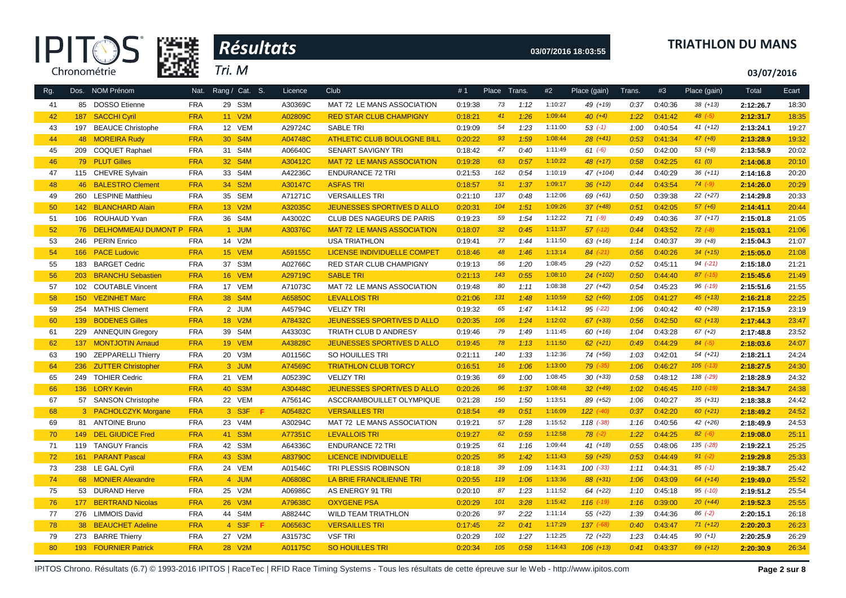



### **03/07/2016 18:03:55 TRIATHLON DU MANS**

**03/07/2016**

| Rg. |     | Dos. NOM Prénom           | Nat.       | Rang / Cat. S. | Licence | Club                               | #1      | Place           | Trans. | #2      | Place (gain)  | Trans. | #3      | Place (gain)  | Total     | Ecart |
|-----|-----|---------------------------|------------|----------------|---------|------------------------------------|---------|-----------------|--------|---------|---------------|--------|---------|---------------|-----------|-------|
| 41  |     | 85 DOSSO Etienne          | <b>FRA</b> | 29 S3M         | A30369C | MAT 72 LE MANS ASSOCIATION         | 0:19:38 | 73              | 1:12   | 1:10:27 | 49 (+19)      | 0:37   | 0:40:36 | $38(+13)$     | 2:12:26.7 | 18:30 |
| 42  | 187 | <b>SACCHI Cyril</b>       | <b>FRA</b> | 11 V2M         | A02809C | <b>RED STAR CLUB CHAMPIGNY</b>     | 0:18:21 | 41              | 1:26   | 1:09:44 | $40 (+4)$     | 1:22   | 0:41:42 | $48$ $(-5)$   | 2:12:31.7 | 18:35 |
| 43  |     | 197 BEAUCE Christophe     | <b>FRA</b> | 12 VEM         | A29724C | <b>SABLE TRI</b>                   | 0:19:09 | 54              | 1:23   | 1:11:00 | $53( -1)$     | 1:00   | 0:40:54 | $41 (+12)$    | 2:13:24.1 | 19:27 |
| 44  |     | 48 MOREIRA Rudy           | <b>FRA</b> | 30 S4M         | A04748C | <b>ATHLETIC CLUB BOULOGNE BILL</b> | 0:20:22 | 93              | 1:59   | 1:08:44 | $28(+41)$     | 0:53   | 0:41:34 | $47 (+8)$     | 2:13:28.9 | 19:32 |
| 45  |     | 209 COQUET Raphael        | <b>FRA</b> | 31 S4M         | A06640C | <b>SENART SAVIGNY TRI</b>          | 0:18:42 | 47              | 0:40   | 1:11:49 | $61 (-6)$     | 0:50   | 0:42:00 | $53(+8)$      | 2:13:58.9 | 20:02 |
| 46  |     | 79 PLUT Gilles            | <b>FRA</b> | 32 S4M         | A30412C | <b>MAT 72 LE MANS ASSOCIATION</b>  | 0:19:28 | 63              | 0:57   | 1:10:22 | $48 (+17)$    | 0:58   | 0:42:25 | 61(0)         | 2:14:06.8 | 20:10 |
| 47  |     | 115 CHEVRE Sylvain        | <b>FRA</b> | 33 S4M         | A42236C | <b>ENDURANCE 72 TRI</b>            | 0:21:53 | 162             | 0:54   | 1:10:19 | 47 (+104)     | 0:44   | 0:40:29 | $36(+11)$     | 2:14:16.8 | 20:20 |
| 48  |     | 46 BALESTRO Clement       | <b>FRA</b> | 34 S2M         | A30147C | <b>ASFAS TRI</b>                   | 0:18:57 | 51              | 1:37   | 1:09:17 | $36 (+12)$    | 0:44   | 0:43:54 | $74 (-9)$     | 2:14:26.0 | 20:29 |
| 49  | 260 | <b>LESPINE Matthieu</b>   | <b>FRA</b> | 35 SEM         | A71271C | <b>VERSAILLES TRI</b>              | 0:21:10 | 137             | 0:48   | 1:12:06 | 69 (+61)      | 0:50   | 0:39:38 | $22 (+27)$    | 2:14:29.8 | 20:33 |
| 50  |     | 142 BLANCHARD Alain       | <b>FRA</b> | 13 V2M         | A32035C | <b>JEUNESSES SPORTIVES D ALLO</b>  | 0:20:31 | 104             | 1:51   | 1:09:26 | $37 (+48)$    | 0:51   | 0:42:05 | $57 (+6)$     | 2:14:41.1 | 20:44 |
| 51  |     | 106 ROUHAUD Yvan          | <b>FRA</b> | 36 S4M         | A43002C | CLUB DES NAGEURS DE PARIS          | 0:19:23 | 59              | 1:54   | 1:12:22 | $71 (-9)$     | 0:49   | 0:40:36 | $37 (+17)$    | 2:15:01.8 | 21:05 |
| 52  |     | 76 DELHOMMEAU DUMONT P    | <b>FRA</b> | 1 JUM          | A30376C | <b>MAT 72 LE MANS ASSOCIATION</b>  | 0:18:07 | 32 <sup>°</sup> | 0:45   | 1:11:37 | $57$ $(-12)$  | 0:44   | 0:43:52 | $72 (-8)$     | 2:15:03.1 | 21:06 |
| 53  |     | 246 PERIN Enrico          | <b>FRA</b> | 14 V2M         |         | <b>USA TRIATHLON</b>               | 0:19:41 | 77              | 1:44   | 1:11:50 | $63 (+16)$    | 1:14   | 0:40:37 | $39 (+8)$     | 2:15:04.3 | 21:07 |
| 54  |     | 166 PACE Ludovic          | <b>FRA</b> | 15 VEM         | A59155C | <b>LICENSE INDIVIDUELLE COMPET</b> | 0:18:46 | 48              | 1:46   | 1:13:14 | $84$ $(-21)$  | 0:56   | 0:40:26 | $34(+15)$     | 2:15:05.0 | 21:08 |
| 55  |     | 183 BARGET Cedric         | <b>FRA</b> | 37 S3M         | A02766C | RED STAR CLUB CHAMPIGNY            | 0:19:13 | 56              | 1:20   | 1:08:45 | 29 (+22)      | 0:52   | 0:45:11 | $94 (-21)$    | 2:15:18.0 | 21:21 |
| 56  | 203 | <b>BRANCHU Sebastien</b>  | <b>FRA</b> | 16 VEM         | A29719C | <b>SABLE TRI</b>                   | 0:21:13 | 143             | 0:55   | 1:08:10 | $24$ (+102)   | 0:50   | 0:44:40 | $87$ $(-15)$  | 2:15:45.6 | 21:49 |
| 57  |     | 102 COUTABLE Vincent      | <b>FRA</b> | 17 VEM         | A71073C | MAT 72 LE MANS ASSOCIATION         | 0:19:48 | 80              | 1:11   | 1:08:38 | $27 (+42)$    | 0:54   | 0:45:23 | $96$ $(-19)$  | 2:15:51.6 | 21:55 |
| 58  |     | 150 VEZINHET Marc         | <b>FRA</b> | 38 S4M         | A65850C | <b>LEVALLOIS TRI</b>               | 0:21:06 | 131             | 1:48   | 1:10:59 | $52(+60)$     | 1:05   | 0:41:27 | $45 (+13)$    | 2:16:21.8 | 22:25 |
| 59  |     | 254 MATHIS Clement        | <b>FRA</b> | 2 JUM          | A45794C | <b>VELIZY TRI</b>                  | 0:19:32 | 65              | 1:47   | 1:14:12 | 95 (-22)      | 1:06   | 0:40:42 | $40 (+28)$    | 2:17:15.9 | 23:19 |
| 60  |     | 139 BODENES Gilles        | <b>FRA</b> | 18 V2M         | A78432C | <b>JEUNESSES SPORTIVES D ALLO</b>  | 0:20:35 | 106             | 1:24   | 1:12:02 | $67$ $(+33)$  | 0:56   | 0:42:50 | $62 (+13)$    | 2:17:44.3 | 23:47 |
| 61  | 229 | <b>ANNEQUIN Gregory</b>   | <b>FRA</b> | 39 S4M         | A43303C | TRIATH CLUB D ANDRESY              | 0:19:46 | 79              | 1:49   | 1:11:45 | $60 (+16)$    | 1:04   | 0:43:28 | $67 (+2)$     | 2:17:48.8 | 23:52 |
| 62  |     | 137 MONTJOTIN Arnaud      | <b>FRA</b> | <b>19 VEM</b>  | A43828C | <b>JEUNESSES SPORTIVES D ALLO</b>  | 0:19:45 | 78              | 1:13   | 1:11:50 | $62 (+21)$    | 0:49   | 0:44:29 | $84 (-5)$     | 2:18:03.6 | 24:07 |
| 63  |     | 190 ZEPPARELLI Thierry    | <b>FRA</b> | 20 V3M         | A01156C | SO HOUILLES TRI                    | 0:21:11 | 140             | 1:33   | 1:12:36 | 74 (+56)      | 1:03   | 0:42:01 | $54(+21)$     | 2:18:21.1 | 24:24 |
| 64  | 236 | <b>ZUTTER Christopher</b> | <b>FRA</b> | 3 JUM          | A74569C | <b>TRIATHLON CLUB TORCY</b>        | 0:16:51 | 16              | 1:06   | 1:13:00 | $79$ $(-35)$  | 1:06   | 0:46:27 | $105$ $(-13)$ | 2:18:27.5 | 24:30 |
| 65  | 249 | <b>TOHIER Cedric</b>      | <b>FRA</b> | 21 VEM         | A05239C | <b>VELIZY TRI</b>                  | 0:19:36 | 69              | 1:00   | 1:08:45 | $30 (+33)$    | 0:58   | 0:48:12 | 138 (-29)     | 2:18:28.9 | 24:32 |
| 66  |     | 136 LORY Kevin            | <b>FRA</b> | 40 S3M         | A30448C | JEUNESSES SPORTIVES D ALLO         | 0:20:26 | 96              | 1:37   | 1:08:48 | $32(+49)$     | 1:02   | 0:46:45 | $110(-19)$    | 2:18:34.7 | 24:38 |
| 67  |     | 57 SANSON Christophe      | <b>FRA</b> | 22 VEM         | A75614C | ASCCRAMBOUILLET OLYMPIQUE          | 0:21:28 | 150             | 1:50   | 1:13:51 | 89 (+52)      | 1:06   | 0:40:27 | $35 (+31)$    | 2:18:38.8 | 24:42 |
| 68  |     | 3 PACHOLCZYK Morgane      | <b>FRA</b> | 3 S3F<br>-F    | A05482C | <b>VERSAILLES TRI</b>              | 0:18:54 | 49              | 0:51   | 1:16:09 | $122$ $(-40)$ | 0:37   | 0:42:20 | $60 (+21)$    | 2:18:49.2 | 24:52 |
| 69  |     | 81 ANTOINE Bruno          | <b>FRA</b> | 23 V4M         | A30294C | MAT 72 LE MANS ASSOCIATION         | 0:19:21 | 57              | 1:28   | 1:15:52 | $118$ $(-38)$ | 1:16   | 0:40:56 | $42 (+26)$    | 2:18:49.9 | 24:53 |
| 70  | 149 | <b>DEL GIUDICE Fred</b>   | <b>FRA</b> | 41 S3M         | A77351C | <b>LEVALLOIS TRI</b>               | 0:19:27 | 62              | 0:59   | 1:12:58 | $78$ $(-2)$   | 1:22   | 0:44:25 | $82 (-6)$     | 2:19:08.0 | 25:11 |
| 71  | 119 | <b>TANGUY Francis</b>     | <b>FRA</b> | 42 S3M         | A64336C | <b>ENDURANCE 72 TRI</b>            | 0:19:25 | 61              | 1:16   | 1:09:44 | $41 (+18)$    | 0:55   | 0:48:06 | 135 (-28)     | 2:19:22.1 | 25:25 |
| 72  |     | 161 PARANT Pascal         | <b>FRA</b> | 43 S3M         | A83790C | <b>LICENCE INDIVIDUELLE</b>        | 0:20:25 | 95              | 1:42   | 1:11:43 | $59 (+25)$    | 0:53   | 0:44:49 | $91 (-2)$     | 2:19:29.8 | 25:33 |
| 73  |     | 238 LE GAL Cyril          | <b>FRA</b> | 24 VEM         | A01546C | TRI PLESSIS ROBINSON               | 0:18:18 | 39              | 1:09   | 1:14:31 | $100(-33)$    | 1:11   | 0:44:31 | $85$ (-1)     | 2:19:38.7 | 25:42 |
| 74  |     | 68 MONIER Alexandre       | <b>FRA</b> | 4 JUM          | A06808C | LA BRIE FRANCILIENNE TRI           | 0:20:55 | 119             | 1:06   | 1:13:36 | $88 (+31)$    | 1:06   | 0:43:09 | $64 (+14)$    | 2:19:49.0 | 25:52 |
| 75  |     | 53 DURAND Herve           | <b>FRA</b> | 25 V2M         | A06986C | AS ENERGY 91 TRI                   | 0:20:10 | 87              | 1:23   | 1:11:52 | $64$ $(+22)$  | 1:10   | 0:45:18 | $95$ $(-10)$  | 2:19:51.2 | 25:54 |
| 76  | 177 | <b>BERTRAND Nicolas</b>   | <b>FRA</b> | 26 V3M         | A79638C | <b>OXYGENE PSA</b>                 | 0:20:29 | 101             | 3:28   | 1:15:42 | $116$ $(-19)$ | 1:16   | 0:39:00 | $20(+44)$     | 2:19:52.3 | 25:55 |
| 77  |     | 276 LIMMOIS David         | <b>FRA</b> | 44 S4M         | A88244C | <b>WILD TEAM TRIATHLON</b>         | 0:20:26 | 97              | 2:22   | 1:11:14 | $55(+22)$     | 1:39   | 0:44:36 | $86( -2)$     | 2:20:15.1 | 26:18 |
| 78  |     | 38 BEAUCHET Adeline       | <b>FRA</b> | 4 S3F          | A06563C | <b>VERSAILLES TRI</b>              | 0:17:45 | 22              | 0:41   | 1:17:29 | $137$ $(-68)$ | 0:40   | 0:43:47 | $71 (+12)$    | 2:20:20.3 | 26:23 |
| 79  |     | 273 BARRE Thierry         | <b>FRA</b> | 27 V2M         | A31573C | <b>VSF TRI</b>                     | 0:20:29 | 102             | 1:27   | 1:12:25 | $72(+22)$     | 1:23   | 0:44:45 | $90 (+1)$     | 2:20:25.9 | 26:29 |
| 80  |     | 193 FOURNIER Patrick      | <b>FRA</b> | 28 V2M         | A01175C | <b>SO HOUILLES TRI</b>             | 0:20:34 | 105             | 0:58   | 1:14:43 | $106 (+13)$   | 0:41   | 0:43:37 | $69 (+12)$    | 2:20:30.9 | 26:34 |

IPITOS Chrono. Résultats (6.7) © 1993-2016 IPITOS | RaceTec | RFID Race Timing Systems - Tous les résultats de cette épreuve sur le Web - http://www.ipitos.com **Page 2 sur 8**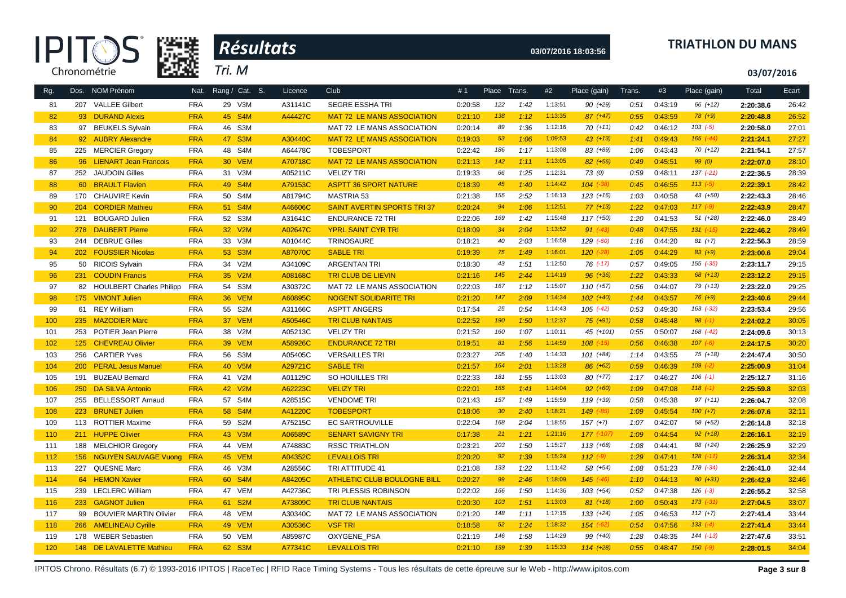| Æ            |
|--------------|
| Chronométrie |



### **03/07/2016 18:03:56 TRIATHLON DU MANS**

**03/07/2016**

| Rg. |         | Dos. NOM Prénom             | Nat.       | Rang / Cat. S. | Licence | Club                               | #1      | Place Trans.    |      | #2      | Place (gain)   | Trans. | #3      | Place (gain)  | Total     | Ecart |
|-----|---------|-----------------------------|------------|----------------|---------|------------------------------------|---------|-----------------|------|---------|----------------|--------|---------|---------------|-----------|-------|
| 81  |         | 207 VALLEE Gilbert          | <b>FRA</b> | 29 V3M         | A31141C | SEGRE ESSHA TRI                    | 0:20:58 | 122             | 1:42 | 1:13:51 | 90 (+29)       | 0:51   | 0:43:19 | 66 (+12)      | 2:20:38.6 | 26:42 |
| 82  |         | 93 DURAND Alexis            | <b>FRA</b> | 45 S4M         | A44427C | <b>MAT 72 LE MANS ASSOCIATION</b>  | 0:21:10 | 138             | 1:12 | 1:13:35 | $87 (+47)$     | 0:55   | 0:43:59 | $78(+9)$      | 2:20:48.8 | 26:52 |
| 83  |         | 97 BEUKELS Sylvain          | <b>FRA</b> | 46 S3M         |         | MAT 72 LE MANS ASSOCIATION         | 0:20:14 | 89              | 1:36 | 1:12:16 | $70(+11)$      | 0:42   | 0:46:12 | $103$ $(-5)$  | 2:20:58.0 | 27:01 |
| 84  |         | 92 AUBRY Alexandre          | <b>FRA</b> | 47 S3M         | A30440C | <b>MAT 72 LE MANS ASSOCIATION</b>  | 0:19:03 | 53              | 1:06 | 1:09:53 | $43 (+13)$     | 1:41   | 0:49:43 | $165$ $(-44)$ | 2:21:24.1 | 27:27 |
| 85  |         | 225 MERCIER Gregory         | <b>FRA</b> | 48 S4M         | A64478C | <b>TOBESPORT</b>                   | 0:22:42 | 186             | 1:17 | 1:13:08 | 83 (+89)       | 1:06   | 0:43:43 | $70(+12)$     | 2:21:54.1 | 27:57 |
| 86  |         | 96 LIENART Jean Francois    | <b>FRA</b> | 30 VEM         | A70718C | <b>MAT 72 LE MANS ASSOCIATION</b>  | 0:21:13 | 142             | 1:11 | 1:13:05 | $82 (+56)$     | 0:49   | 0:45:51 | 99(0)         | 2:22:07.0 | 28:10 |
| 87  | 252     | <b>JAUDOIN Gilles</b>       | <b>FRA</b> | 31 V3M         | A05211C | <b>VELIZY TRI</b>                  | 0:19:33 | 66              | 1:25 | 1:12:31 | 73(0)          | 0:59   | 0:48:11 | $137 (-21)$   | 2:22:36.5 | 28:39 |
| 88  |         | 60 BRAULT Flavien           | <b>FRA</b> | 49 S4M         | A79153C | <b>ASPTT 36 SPORT NATURE</b>       | 0:18:39 | 45              | 1:40 | 1:14:42 | $104$ $(-38)$  | 0:45   | 0:46:55 | $113(-5)$     | 2:22:39.1 | 28:42 |
| 89  |         | 170 CHAUVIRE Kevin          | <b>FRA</b> | 50 S4M         | A81794C | <b>MASTRIA 53</b>                  | 0:21:38 | 155             | 2:52 | 1:16:13 | $123 (+16)$    | 1:03   | 0:40:58 | $43 (+50)$    | 2:22:43.3 | 28:46 |
| 90  | 204     | <b>CORDIER Mathieu</b>      | <b>FRA</b> | 51 S4M         | A46606C | <b>SAINT AVERTIN SPORTS TRI37</b>  | 0:20:24 | 94              | 1:06 | 1:12:51 | $77(+13)$      | 1:22   | 0:47:03 | $117(-9)$     | 2:22:43.9 | 28:47 |
| 91  | 121     | <b>BOUGARD Julien</b>       | <b>FRA</b> | 52 S3M         | A31641C | <b>ENDURANCE 72 TRI</b>            | 0:22:06 | 169             | 1:42 | 1:15:48 | $117(+50)$     | 1:20   | 0:41:53 | $51 (+28)$    | 2:22:46.0 | 28:49 |
| 92  | 278     | <b>DAUBERT Pierre</b>       | <b>FRA</b> | 32 V2M         | A02647C | <b>YPRL SAINT CYR TRI</b>          | 0:18:09 | 34              | 2:04 | 1:13:52 | $91 (+43)$     | 0:48   | 0:47:55 | $131$ $(-15)$ | 2:22:46.2 | 28:49 |
| 93  |         | 244 DEBRUE Gilles           | <b>FRA</b> | 33 V3M         | A01044C | <b>TRINOSAURE</b>                  | 0:18:21 | 40              | 2:03 | 1:16:58 | 129 (-60)      | 1:16   | 0:44:20 | $81 (+7)$     | 2:22:56.3 | 28:59 |
| 94  |         | 202 FOUSSIER Nicolas        | <b>FRA</b> | 53 S3M         | A87070C | <b>SABLE TRI</b>                   | 0:19:39 | 75              | 1:49 | 1:16:01 | $120$ $(-28)$  | 1:05   | 0:44:29 | $83 (+9)$     | 2:23:00.6 | 29:04 |
| 95  |         | 50 RICOIS Sylvain           | <b>FRA</b> | 34 V2M         | A34109C | <b>ARGENTAN TRI</b>                | 0:18:30 | 43              | 1:51 | 1:12:50 | $76$ $(-17)$   | 0:57   | 0:49:05 | $155$ $(-35)$ | 2:23:11.7 | 29:15 |
| 96  |         | 231 COUDIN Francis          | <b>FRA</b> | 35 V2M         | A08168C | <b>TRI CLUB DE LIEVIN</b>          | 0:21:16 | 145             | 2:44 | 1:14:19 | $96 (+36)$     | 1:22   | 0:43:33 | $68 (+13)$    | 2:23:12.2 | 29:15 |
| 97  |         | 82 HOULBERT Charles Philipp | <b>FRA</b> | 54 S3M         | A30372C | MAT 72 LE MANS ASSOCIATION         | 0:22:03 | 167             | 1:12 | 1:15:07 | $110(+57)$     | 0:56   | 0:44:07 | $79(+13)$     | 2:23:22.0 | 29:25 |
| 98  |         | 175 VIMONT Julien           | <b>FRA</b> | 36 VEM         | A60895C | <b>NOGENT SOLIDARITE TRI</b>       | 0:21:20 | 147             | 2:09 | 1:14:34 | $102 (+40)$    | 1:44   | 0:43:57 | $76 (+9)$     | 2:23:40.6 | 29:44 |
| 99  |         | 61 REY William              | <b>FRA</b> | 55 S2M         | A31166C | <b>ASPTT ANGERS</b>                | 0:17:54 | 25              | 0:54 | 1:14:43 | $105$ $(-42)$  | 0:53   | 0:49:30 | $163$ $(-32)$ | 2:23:53.4 | 29:56 |
| 100 | 235     | <b>MAZODIER Marc</b>        | <b>FRA</b> | 37 VEM         | A50546C | <b>TRI CLUB NANTAIS</b>            | 0:22:52 | 190             | 1:50 | 1:12:37 | $75(+91)$      | 0:58   | 0:45:48 | $98 (+1)$     | 2:24:02.2 | 30:05 |
| 101 | 253     | POTIER Jean Pierre          | <b>FRA</b> | 38 V2M         | A05213C | <b>VELIZY TRI</b>                  | 0:21:52 | 160             | 1:07 | 1:10:11 | 45 (+101)      | 0:55   | 0:50:07 | 168 (-42)     | 2:24:09.6 | 30:13 |
| 102 | 125     | <b>CHEVREAU Olivier</b>     | <b>FRA</b> | <b>39 VEM</b>  | A58926C | <b>ENDURANCE 72 TRI</b>            | 0:19:51 | 81              | 1:56 | 1:14:59 | $108$ $(-15)$  | 0:56   | 0:46:38 | $107 (-6)$    | 2:24:17.5 | 30:20 |
| 103 | 256     | <b>CARTIER Yves</b>         | <b>FRA</b> | 56 S3M         | A05405C | <b>VERSAILLES TRI</b>              | 0:23:27 | 205             | 1:40 | 1:14:33 | $101 (+84)$    | 1:14   | 0:43:55 | $75(+18)$     | 2:24:47.4 | 30:50 |
| 104 | 200     | <b>PERAL Jesus Manuel</b>   | <b>FRA</b> | 40 V5M         | A29721C | <b>SABLE TRI</b>                   | 0:21:57 | 164             | 2:01 | 1:13:28 | $86 (+62)$     | 0:59   | 0:46:39 | $109$ $(-2)$  | 2:25:00.9 | 31:04 |
| 105 |         | 191 BUZEAU Bernard          | <b>FRA</b> | 41 V2M         | A01129C | SO HOUILLES TRI                    | 0:22:33 | 181             | 1:55 | 1:13:03 | $80 (+77)$     | 1:17   | 0:46:27 | $106$ $(-1)$  | 2:25:12.7 | 31:16 |
| 106 | 250     | <b>DA SILVA Antonio</b>     | <b>FRA</b> | 42 V2M         | A62223C | <b>VELIZY TRI</b>                  | 0:22:01 | 165             | 1:41 | 1:14:04 | $92 (+60)$     | 1:09   | 0:47:08 | $118(-1)$     | 2:25:59.8 | 32:03 |
| 107 |         | 255 BELLESSORT Arnaud       | <b>FRA</b> | 57 S4M         | A28515C | <b>VENDOME TRI</b>                 | 0:21:43 | 157             | 1:49 | 1:15:59 | $119(+39)$     | 0:58   | 0:45:38 | $97 (+11)$    | 2:26:04.7 | 32:08 |
| 108 | $223 -$ | <b>BRUNET Julien</b>        | <b>FRA</b> | 58 S4M         | A41220C | <b>TOBESPORT</b>                   | 0:18:06 | 30 <sub>o</sub> | 2:40 | 1:18:21 | 149 (-85)      | 1:09   | 0:45:54 | $100 (+7)$    | 2:26:07.6 | 32:11 |
| 109 |         | 113 ROTTIER Maxime          | <b>FRA</b> | 59 S2M         | A75215C | <b>EC SARTROUVILLE</b>             | 0:22:04 | 168             | 2:04 | 1:18:55 | $157 (+7)$     | 1:07   | 0:42:07 | 58 (+52)      | 2:26:14.8 | 32:18 |
| 110 |         | 211 HUPPE Olivier           | <b>FRA</b> | 43 V3M         | A06589C | <b>SENART SAVIGNY TRI</b>          | 0:17:38 | 21              | 1:21 | 1:21:16 | $177$ $(-107)$ | 1:09   | 0:44:54 | $92 (+18)$    | 2:26:16.1 | 32:19 |
| 111 |         | 188 MELCHIOR Gregory        | <b>FRA</b> | 44 VEM         | A74883C | <b>RSSC TRIATHLON</b>              | 0:23:21 | 203             | 1:50 | 1:15:27 | $113(+68)$     | 1:08   | 0:44:41 | 88 (+24)      | 2:26:25.9 | 32:29 |
| 112 | 156     | <b>NGUYEN SAUVAGE Vuong</b> | <b>FRA</b> | 45 VEM         | A04352C | <b>LEVALLOIS TRI</b>               | 0:20:20 | 92              | 1:39 | 1:15:24 | $112$ $(-9)$   | 1:29   | 0:47:41 | $128$ $(-11)$ | 2:26:31.4 | 32:34 |
| 113 |         | 227 QUESNE Marc             | <b>FRA</b> | 46 V3M         | A28556C | TRI ATTITUDE 41                    | 0:21:08 | 133             | 1:22 | 1:11:42 | 58 (+54)       | 1:08   | 0:51:23 | 178 (-34)     | 2:26:41.0 | 32:44 |
| 114 |         | 64 HEMON Xavier             | <b>FRA</b> | 60 S4M         | A84205C | <b>ATHLETIC CLUB BOULOGNE BILL</b> | 0:20:27 | 99              | 2:46 | 1:18:09 | $145$ $(-46)$  | 1:10   | 0:44:13 | $80 (+31)$    | 2:26:42.9 | 32:46 |
| 115 |         | 239 LECLERC William         | <b>FRA</b> | 47 VEM         | A42736C | TRI PLESSIS ROBINSON               | 0:22:02 | 166             | 1:50 | 1:14:36 | $103 (+54)$    | 0:52   | 0:47:38 | $126$ $(-3)$  | 2:26:55.2 | 32:58 |
| 116 |         | 233 GAGNOT Julien           | <b>FRA</b> | 61 S2M         | A73809C | <b>TRI CLUB NANTAIS</b>            | 0:20:30 | 103             | 1:51 | 1:13:03 | $81 (+18)$     | 1:00   | 0:50:43 | $173$ $(-31)$ | 2:27:04.5 | 33:07 |
| 117 |         | 99 BOUVIER MARTIN Olivier   | <b>FRA</b> | 48 VEM         | A30340C | MAT 72 LE MANS ASSOCIATION         | 0:21:20 | 148             | 1:11 | 1:17:15 | $133 (+24)$    | 1:05   | 0:46:53 | $112 (+7)$    | 2:27:41.4 | 33:44 |
| 118 |         | 266 AMELINEAU Cyrille       | <b>FRA</b> | 49 VEM         | A30536C | <b>VSF TRI</b>                     | 0:18:58 | 52              | 1:24 | 1:18:32 | $154$ $(-62)$  | 0:54   | 0:47:56 | $133(-4)$     | 2:27:41.4 | 33:44 |
| 119 |         | 178 WEBER Sebastien         | <b>FRA</b> | 50 VEM         | A85987C | OXYGENE_PSA                        | 0:21:19 | 146             | 1:58 | 1:14:29 | 99 (+40)       | 1:28   | 0:48:35 | $144$ $(-13)$ | 2:27:47.6 | 33:51 |
| 120 |         | 148 DE LAVALETTE Mathieu    | <b>FRA</b> | 62 S3M         | A77341C | <b>LEVALLOIS TRI</b>               | 0:21:10 | 139             | 1:39 | 1:15:33 | $114(+28)$     | 0:55   | 0:48:47 | $150(-9)$     | 2:28:01.5 | 34:04 |
|     |         |                             |            |                |         |                                    |         |                 |      |         |                |        |         |               |           |       |

IPITOS Chrono. Résultats (6.7) © 1993-2016 IPITOS | RaceTec | RFID Race Timing Systems - Tous les résultats de cette épreuve sur le Web - http://www.ipitos.com **Page 3 sur 8**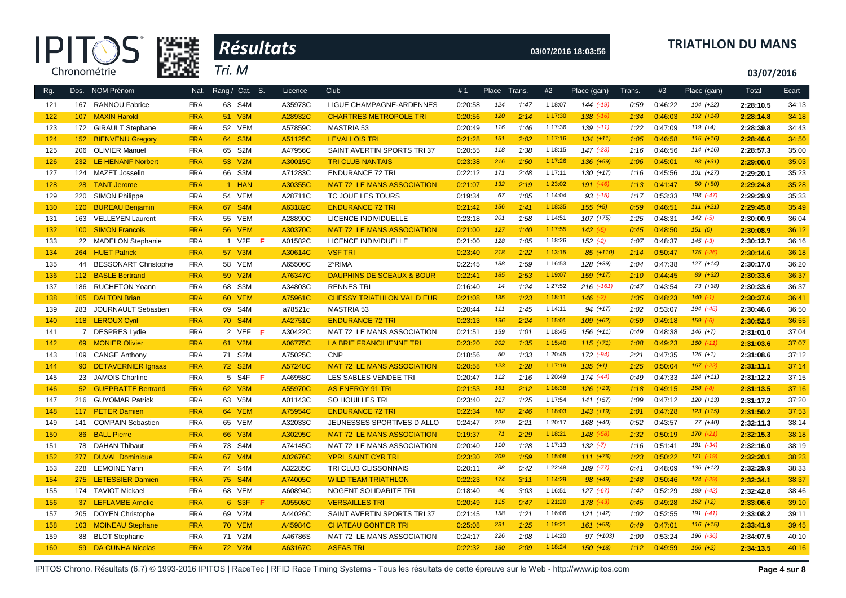



### **03/07/2016 18:03:56 TRIATHLON DU MANS**

**03/07/2016**

| Rg. |                  | Dos. NOM Prénom          | Nat.       | Rang / Cat. S. | Licence | Club                                 | #1      | Place Trans. |      | #2      | Place (gain)     | Trans. | #3      | Place (gain)  | Total     | Ecart |
|-----|------------------|--------------------------|------------|----------------|---------|--------------------------------------|---------|--------------|------|---------|------------------|--------|---------|---------------|-----------|-------|
| 121 |                  | 167 RANNOU Fabrice       | <b>FRA</b> | 63 S4M         | A35973C | LIGUE CHAMPAGNE-ARDENNES             | 0:20:58 | 124          | 1:47 | 1:18:07 | 144 (-19)        | 0:59   | 0:46:22 | $104 (+22)$   | 2:28:10.5 | 34:13 |
| 122 |                  | 107 MAXIN Harold         | <b>FRA</b> | 51 V3M         | A28932C | <b>CHARTRES METROPOLE TRI</b>        | 0:20:56 | 120          | 2:14 | 1:17:30 | $138$ $(-16)$    | 1:34   | 0:46:03 | $102 (+14)$   | 2:28:14.8 | 34:18 |
| 123 |                  | 172 GIRAULT Stephane     | <b>FRA</b> | 52 VEM         | A57859C | <b>MASTRIA 53</b>                    | 0:20:49 | 116          | 1:46 | 1:17:36 | $139$ $(-11)$    | 1:22   | 0:47:09 | $119 (+4)$    | 2:28:39.8 | 34:43 |
| 124 |                  | 152 BIENVENU Gregory     | <b>FRA</b> | 64 S3M         | A51125C | <b>LEVALLOIS TRI</b>                 | 0:21:28 | 151          | 2:02 | 1:17:16 | $134 (+11)$      | 1:05   | 0:46:58 | $115 (+16)$   | 2:28:46.6 | 34:50 |
| 125 | 206              | <b>OLIVIER Manuel</b>    | <b>FRA</b> | 65 S2M         | A47956C | SAINT AVERTIN SPORTS TRI 37          | 0:20:55 | 118          | 1:38 | 1:18:15 | $147$ $(-23)$    | 1:16   | 0:46:56 | $114 (+16)$   | 2:28:57.3 | 35:00 |
| 126 |                  | 232 LE HENANF Norbert    | <b>FRA</b> | 53 V2M         | A30015C | <b>TRI CLUB NANTAIS</b>              | 0:23:38 | 216          | 1:50 | 1:17:26 | $136 (+59)$      | 1:06   | 0:45:01 | $93 (+31)$    | 2:29:00.0 | 35:03 |
| 127 |                  | 124 MAZET Josselin       | <b>FRA</b> | 66 S3M         | A71283C | <b>ENDURANCE 72 TRI</b>              | 0:22:12 | 171          | 2:48 | 1:17:11 | $130 (+17)$      | 1:16   | 0:45:56 | $101 (+27)$   | 2:29:20.1 | 35:23 |
| 128 |                  | 28 TANT Jerome           | <b>FRA</b> | 1 HAN          | A30355C | <b>MAT 72 LE MANS ASSOCIATION</b>    | 0:21:07 | 132          | 2:19 | 1:23:02 | $191$ $(-46)$    | 1:13   | 0:41:47 | $50(+50)$     | 2:29:24.8 | 35:28 |
| 129 |                  | 220 SIMON Philippe       | <b>FRA</b> | 54 VEM         | A28711C | TC JOUE LES TOURS                    | 0:19:34 | 67           | 1:05 | 1:14:04 | $93$ $(-15)$     | 1:17   | 0:53:33 | 198 (-47)     | 2:29:29.9 | 35:33 |
| 130 | 120 <sub>1</sub> | <b>BUREAU Benjamin</b>   | <b>FRA</b> | 67 S4M         | A63182C | <b>ENDURANCE 72 TRI</b>              | 0:21:42 | 156          | 1:41 | 1:18:35 | $155 (+5)$       | 0:59   | 0:46:51 | $111 (+21)$   | 2:29:45.8 | 35:49 |
| 131 | 163              | <b>VELLEYEN Laurent</b>  | <b>FRA</b> | 55 VEM         | A28890C | LICENCE INDIVIDUELLE                 | 0:23:18 | 201          | 1:58 | 1:14:51 | $107 (+75)$      | 1:25   | 0:48:31 | $142 (-5)$    | 2:30:00.9 | 36:04 |
| 132 |                  | 100 SIMON Francois       | <b>FRA</b> | <b>56 VEM</b>  | A30370C | <b>MAT 72 LE MANS ASSOCIATION</b>    | 0:21:00 | 127          | 1:40 | 1:17:55 | $142$ $(-5)$     | 0:45   | 0:48:50 | 151(0)        | 2:30:08.9 | 36:12 |
| 133 |                  | 22 MADELON Stephanie     | <b>FRA</b> | 1 V2F<br>- F   | A01582C | LICENCE INDIVIDUELLE                 | 0:21:00 | 128          | 1:05 | 1:18:26 | $152$ (-2)       | 1:07   | 0:48:37 | $145$ (-3)    | 2:30:12.7 | 36:16 |
| 134 |                  | 264 HUET Patrick         | <b>FRA</b> | 57 V3M         | A30614C | <b>VSF TRI</b>                       | 0:23:40 | 218          | 1:22 | 1:13:15 | 85 (+110)        | 1:14   | 0:50:47 | $175$ $(-26)$ | 2:30:14.6 | 36:18 |
| 135 |                  | 44 BESSONART Christophe  | <b>FRA</b> | 58 VEM         | A65506C | 2°RIMA                               | 0:22:45 | 188          | 1:59 | 1:16:53 | $128(+39)$       | 1:04   | 0:47:38 | $127 (+14)$   | 2:30:17.0 | 36:20 |
| 136 |                  | 112 BASLE Bertrand       | <b>FRA</b> | 59 V2M         | A76347C | <b>DAUPHINS DE SCEAUX &amp; BOUR</b> | 0:22:41 | 185          | 2:53 | 1:19:07 | $159 (+17)$      | 1:10   | 0:44:45 | $89 (+32)$    | 2:30:33.6 | 36:37 |
| 137 |                  | 186 RUCHETON Yoann       | <b>FRA</b> | 68 S3M         | A34803C | <b>RENNES TRI</b>                    | 0:16:40 | 14           | 1:24 | 1:27:52 | $216$ ( $-161$ ) | 0:47   | 0:43:54 | $73(+38)$     | 2:30:33.6 | 36:37 |
| 138 | 105              | <b>DALTON Brian</b>      | <b>FRA</b> | 60 VEM         | A75961C | <b>CHESSY TRIATHLON VAL D EUR</b>    | 0:21:08 | 135          | 1:23 | 1:18:11 | $146$ $(-2)$     | 1:35   | 0:48:23 | $140(-1)$     | 2:30:37.6 | 36:41 |
| 139 | 283              | JOURNAULT Sebastien      | <b>FRA</b> | 69 S4M         | a78521c | <b>MASTRIA 53</b>                    | 0:20:44 | 111          | 1:45 | 1:14:11 | $94 (+17)$       | 1:02   | 0:53:07 | 194 (-45)     | 2:30:46.6 | 36:50 |
| 140 |                  | 118 LEROUX Cyril         | <b>FRA</b> | 70 S4M         | A42751C | <b>ENDURANCE 72 TRI</b>              | 0:23:13 | 196          | 2:24 | 1:15:01 | $109 (+62)$      | 0:59   | 0:49:18 | $159(-6)$     | 2:30:52.5 | 36:55 |
| 141 |                  | 7 DESPRES Lydie          | <b>FRA</b> | 2 VEF<br>-F    | A30422C | MAT 72 LE MANS ASSOCIATION           | 0:21:51 | 159          | 1:01 | 1:18:45 | $156 (+11)$      | 0:49   | 0:48:38 | $146 (+7)$    | 2:31:01.0 | 37:04 |
| 142 |                  | 69 MONIER Olivier        | <b>FRA</b> | 61 V2M         | A06775C | LA BRIE FRANCILIENNE TRI             | 0:23:20 | 202          | 1:35 | 1:15:40 | $115 (+71)$      | 1:08   | 0:49:23 | $160$ $(-11)$ | 2:31:03.6 | 37:07 |
| 143 |                  | 109 CANGE Anthony        | <b>FRA</b> | 71 S2M         | A75025C | <b>CNP</b>                           | 0:18:56 | 50           | 1:33 | 1:20:45 | 172 (-94)        | 2:21   | 0:47:35 | $125 (+1)$    | 2:31:08.6 | 37:12 |
| 144 |                  | 90 DETAVERNIER Ignaas    | <b>FRA</b> | 72 S2M         | A57248C | <b>MAT 72 LE MANS ASSOCIATION</b>    | 0:20:58 | 123          | 1:28 | 1:17:19 | $135 (+1)$       | 1:25   | 0:50:04 | $167$ $(-22)$ | 2:31:11.1 | 37:14 |
| 145 |                  | 23 JAMOIS Charline       | <b>FRA</b> | 5 S4F<br>-F    | A46958C | LES SABLES VENDEE TRI                | 0:20:47 | 112          | 1:16 | 1:20:49 | $174$ $(-44)$    | 0:49   | 0:47:33 | $124 (+11)$   | 2:31:12.2 | 37:15 |
| 146 |                  | 52 GUEPRATTE Bertrand    | <b>FRA</b> | 62 V3M         | A55970C | <b>AS ENERGY 91 TRI</b>              | 0:21:53 | 161          | 2:12 | 1:16:38 | $126 (+23)$      | 1:18   | 0:49:15 | $158$ $(-8)$  | 2:31:13.5 | 37:16 |
| 147 |                  | 216 GUYOMAR Patrick      | <b>FRA</b> | 63 V5M         | A01143C | SO HOUILLES TRI                      | 0:23:40 | 217          | 1:25 | 1:17:54 | 141 (+57)        | 1:09   | 0:47:12 | $120 (+13)$   | 2:31:17.2 | 37:20 |
| 148 |                  | 117 PETER Damien         | <b>FRA</b> | 64 VEM         | A75954C | <b>ENDURANCE 72 TRI</b>              | 0:22:34 | 182          | 2:46 | 1:18:03 | $143 (+19)$      | 1:01   | 0:47:28 | $123 (+15)$   | 2:31:50.2 | 37:53 |
| 149 | 141              | <b>COMPAIN Sebastien</b> | <b>FRA</b> | 65 VEM         | A32033C | JEUNESSES SPORTIVES D ALLO           | 0:24:47 | 229          | 2:21 | 1:20:17 | 168 (+40)        | 0:52   | 0:43:57 | 77 (+40)      | 2:32:11.3 | 38:14 |
| 150 |                  | 86 BALL Pierre           | <b>FRA</b> | 66 V3M         | A30295C | <b>MAT 72 LE MANS ASSOCIATION</b>    | 0:19:37 | 71           | 2:29 | 1:18:21 | $148$ $(-58)$    | 1:32   | 0:50:19 | $170(-21)$    | 2:32:15.3 | 38:18 |
| 151 |                  | 78 DAHAN Thibaut         | <b>FRA</b> | 73 S4M         | A74145C | MAT 72 LE MANS ASSOCIATION           | 0:20:40 | 110          | 1:28 | 1:17:13 | $132 (-7)$       | 1:16   | 0:51:41 | 181 (-34)     | 2:32:16.0 | 38:19 |
| 152 |                  | 277 DUVAL Dominique      | <b>FRA</b> | 67 V4M         | A02676C | <b>YPRL SAINT CYR TRI</b>            | 0:23:30 | 209          | 1:59 | 1:15:08 | $111 (+76)$      | 1:23   | 0:50:22 | $171$ $(-19)$ | 2:32:20.1 | 38:23 |
| 153 |                  | 228 LEMOINE Yann         | FRA        | 74 S4M         | A32285C | TRI CLUB CLISSONNAIS                 | 0:20:11 | 88           | 0:42 | 1:22:48 | 189 (-77)        | 0:41   | 0:48:09 | $136 (+12)$   | 2:32:29.9 | 38:33 |
| 154 |                  | 275 LETESSIER Damien     | <b>FRA</b> | 75 S4M         | A74005C | <b>WILD TEAM TRIATHLON</b>           | 0:22:23 | 174          | 3:11 | 1:14:29 | $98 (+49)$       | 1:48   | 0:50:46 | 174 (-29)     | 2:32:34.1 | 38:37 |
| 155 |                  | 174 TAVIOT Mickael       | <b>FRA</b> | 68 VEM         | A60894C | NOGENT SOLIDARITE TRI                | 0:18:40 | 46           | 3:03 | 1:16:51 | 127 (-67)        | 1:42   | 0:52:29 | 189 (-42)     | 2:32:42.8 | 38:46 |
| 156 |                  | 37 LEFLAMBE Amelie       | <b>FRA</b> | 6 S3F<br>F     | A05508C | <b>VERSAILLES TRI</b>                | 0:20:49 | 115          | 0:47 | 1:21:20 | $178$ $(-43)$    | 0:45   | 0:49:28 | $162 (+2)$    | 2:33:06.6 | 39:10 |
| 157 |                  | 205 DOYEN Christophe     | <b>FRA</b> | 69 V2M         | A44026C | SAINT AVERTIN SPORTS TRI 37          | 0:21:45 | 158          | 1:21 | 1:16:06 | $121 (+42)$      | 1:02   | 0:52:55 | 191 (-41)     | 2:33:08.2 | 39:11 |
| 158 |                  | 103 MOINEAU Stephane     | <b>FRA</b> | <b>70 VEM</b>  | A45984C | <b>CHATEAU GONTIER TRI</b>           | 0:25:08 | 231          | 1:25 | 1:19:21 | $161 (+58)$      | 0:49   | 0:47:01 | $116 (+15)$   | 2:33:41.9 | 39:45 |
| 159 |                  | 88 BLOT Stephane         | <b>FRA</b> | 71 V2M         | A46786S | MAT 72 LE MANS ASSOCIATION           | 0:24:17 | 226          | 1:08 | 1:14:20 | 97 (+103)        | 1:00   | 0:53:24 | 196 (-36)     | 2:34:07.5 | 40:10 |
| 160 |                  | 59 DA CUNHA Nicolas      | <b>FRA</b> | 72 V2M         | A63167C | <b>ASFAS TRI</b>                     | 0:22:32 | 180          | 2:09 | 1:18:24 | $150(+18)$       | 1:12   | 0:49:59 | $166 (+2)$    | 2:34:13.5 | 40:16 |

IPITOS Chrono. Résultats (6.7) © 1993-2016 IPITOS | RaceTec | RFID Race Timing Systems - Tous les résultats de cette épreuve sur le Web - http://www.ipitos.com **Page 4 sur 8**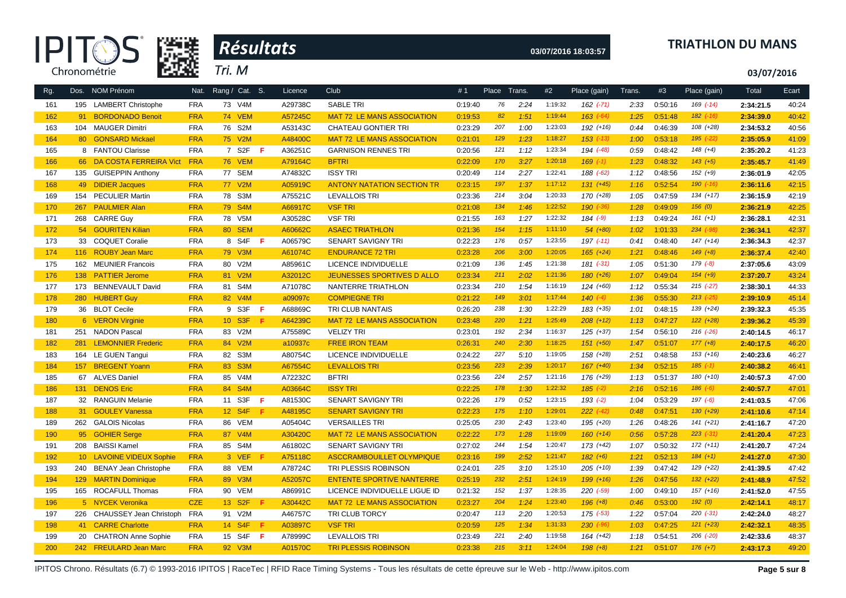



### **03/07/2016 18:03:57 TRIATHLON DU MANS**

**03/07/2016**

| Rg. |     | Dos. NOM Prénom             | Nat.       | Rang / Cat. S.      |     |     | Licence | <b>Club</b>                       | #1      | Place Trans. |      | #2      | Place (gain)  | Trans. | #3      | Place (gain)  | Total     | Ecart |
|-----|-----|-----------------------------|------------|---------------------|-----|-----|---------|-----------------------------------|---------|--------------|------|---------|---------------|--------|---------|---------------|-----------|-------|
| 161 |     | 195 LAMBERT Christophe      | <b>FRA</b> | 73 V4M              |     |     | A29738C | <b>SABLE TRI</b>                  | 0:19:40 | 76           | 2:24 | 1:19:32 | $162$ $(-71)$ | 2:33   | 0:50:16 | $169$ $(-14)$ | 2:34:21.5 | 40:24 |
| 162 | 91  | <b>BORDONADO Benoit</b>     | <b>FRA</b> | <b>74 VEM</b>       |     |     | A57245C | <b>MAT 72 LE MANS ASSOCIATION</b> | 0:19:53 | 82           | 1:51 | 1:19:44 | $163$ $(-64)$ | 1:25   | 0:51:48 | $182$ $(-16)$ | 2:34:39.0 | 40:42 |
| 163 |     | 104 MAUGER Dimitri          | <b>FRA</b> | 76 S2M              |     |     | A53143C | <b>CHATEAU GONTIER TRI</b>        | 0:23:29 | 207          | 1:00 | 1:23:03 | $192 (+16)$   | 0:44   | 0:46:39 | 108 (+28)     | 2:34:53.2 | 40:56 |
| 164 |     | 80 GONSARD Mickael          | <b>FRA</b> | 75 V2M              |     |     | A48400C | <b>MAT 72 LE MANS ASSOCIATION</b> | 0:21:01 | 129          | 1:23 | 1:18:27 | $153$ $(-13)$ | 1:00   | 0:53:18 | $195$ $(-22)$ | 2:35:05.9 | 41:09 |
| 165 |     | 8 FANTOU Clarisse           | <b>FRA</b> | 7 S2F               | - F |     | A36251C | <b>GARNISON RENNES TRI</b>        | 0:20:56 | 121          | 1:12 | 1:23:34 | 194 (-48)     | 0:59   | 0:48:42 | $148 (+4)$    | 2:35:20.2 | 41:23 |
| 166 |     | 66 DA COSTA FERREIRA Vict   | <b>FRA</b> | <b>76 VEM</b>       |     |     | A79164C | <b>BFTRI</b>                      | 0:22:09 | 170          | 3:27 | 1:20:18 | $169$ $(-1)$  | 1:23   | 0:48:32 | $143 (+5)$    | 2:35:45.7 | 41:49 |
| 167 |     | 135 GUISEPPIN Anthony       | <b>FRA</b> | 77 SEM              |     |     | A74832C | <b>ISSY TRI</b>                   | 0:20:49 | 114          | 2:27 | 1:22:41 | $188(-62)$    | 1:12   | 0:48:56 | $152 (+9)$    | 2:36:01.9 | 42:05 |
| 168 |     | 49 DIDIER Jacques           | <b>FRA</b> | 77 V2M              |     |     | A05919C | <b>ANTONY NATATION SECTION TR</b> | 0:23:15 | 197          | 1:37 | 1:17:12 | $131 (+45)$   | 1:16   | 0:52:54 | $190$ $(-16)$ | 2:36:11.6 | 42:15 |
| 169 | 154 | <b>PECULIER Martin</b>      | <b>FRA</b> | 78 S3M              |     |     | A75521C | <b>LEVALLOIS TRI</b>              | 0:23:36 | 214          | 3:04 | 1:20:33 | 170 (+28)     | 1:05   | 0:47:59 | 134 (+17)     | 2:36:15.9 | 42:19 |
| 170 | 267 | <b>PAULMIER Alan</b>        | <b>FRA</b> | 79 S4M              |     |     | A66917C | <b>VSF TRI</b>                    | 0:21:08 | 134          | 1:46 | 1:22:52 | $190$ $(-36)$ | 1:28   | 0:49:09 | 156(0)        | 2:36:21.9 | 42:25 |
| 171 | 268 | <b>CARRE Guy</b>            | <b>FRA</b> | 78 V5M              |     |     | A30528C | <b>VSF TRI</b>                    | 0:21:55 | 163          | 1:27 | 1:22:32 | $184 (-9)$    | 1:13   | 0:49:24 | $161 (+1)$    | 2:36:28.1 | 42:31 |
| 172 |     | 54 GOURITEN Kilian          | <b>FRA</b> | 80 SEM              |     |     | A60662C | <b>ASAEC TRIATHLON</b>            | 0:21:36 | 154          | 1:15 | 1:11:10 | $54(+80)$     | 1:02   | 1:01:33 | $234 (-98)$   | 2:36:34.1 | 42:37 |
| 173 |     | 33 COQUET Coralie           | <b>FRA</b> | 8 S4F               | -F  |     | A06579C | SENART SAVIGNY TRI                | 0:22:23 | 176          | 0:57 | 1:23:55 | $197$ $(-11)$ | 0:41   | 0:48:40 | $147 (+14)$   | 2:36:34.3 | 42:37 |
| 174 |     | 116 ROUBY Jean Marc         | <b>FRA</b> | 79 V3M              |     |     | A61074C | <b>ENDURANCE 72 TRI</b>           | 0:23:28 | 206          | 3:00 | 1:20:05 | $165$ $(+24)$ | 1:21   | 0:48:46 | $149 (+8)$    | 2:36:37.4 | 42:40 |
| 175 |     | 162 MEUNIER Francois        | <b>FRA</b> | 80 V2M              |     |     | A85961C | LICENCE INDIVIDUELLE              | 0:21:09 | 136          | 1:45 | 1:21:38 | $181 (-31)$   | 1:05   | 0:51:30 | $179(-8)$     | 2:37:05.6 | 43:09 |
| 176 |     | 138 PATTIER Jerome          | <b>FRA</b> | 81 V2M              |     |     | A32012C | JEUNESSES SPORTIVES D ALLO        | 0:23:34 | 211          | 2:02 | 1:21:36 | $180 (+26)$   | 1:07   | 0:49:04 | $154 (+9)$    | 2:37:20.7 | 43:24 |
| 177 | 173 | <b>BENNEVAULT David</b>     | <b>FRA</b> | 81 S4M              |     |     | A71078C | NANTERRE TRIATHLON                | 0:23:34 | 210          | 1:54 | 1:16:19 | $124 (+60)$   | 1:12   | 0:55:34 | $215$ $(-27)$ | 2:38:30.1 | 44:33 |
| 178 | 280 | <b>HUBERT Guy</b>           | <b>FRA</b> | 82 V4M              |     |     | a09097c | <b>COMPIEGNE TRI</b>              | 0:21:22 | 149          | 3:01 | 1:17:44 | $140(-4)$     | 1:36   | 0:55:30 | $213$ (-25)   | 2:39:10.9 | 45:14 |
| 179 |     | 36 BLOT Cecile              | <b>FRA</b> | 9 S3F               | - F |     | A68869C | TRI CLUB NANTAIS                  | 0:26:20 | 238          | 1:30 | 1:22:29 | 183 (+35)     | 1:01   | 0:48:15 | 139 (+24)     | 2:39:32.3 | 45:35 |
| 180 |     | 6 VERON Virginie            | <b>FRA</b> | 10 S3F              | -F  |     | A64239C | <b>MAT 72 LE MANS ASSOCIATION</b> | 0:23:48 | 220          | 1:21 | 1:25:49 | $208 (+12)$   | 1:13   | 0:47:27 | $122 (+28)$   | 2:39:36.2 | 45:39 |
| 181 |     | 251 NADON Pascal            | <b>FRA</b> | 83 V2M              |     |     | A75589C | <b>VELIZY TRI</b>                 | 0:23:01 | 192          | 2:34 | 1:16:37 | $125 (+37)$   | 1:54   | 0:56:10 | $216$ $(-26)$ | 2:40:14.5 | 46:17 |
| 182 | 281 | <b>LEMONNIER Frederic</b>   | <b>FRA</b> | 84 V2M              |     |     | a10937c | <b>FREE IRON TEAM</b>             | 0:26:31 | 240          | 2:30 | 1:18:25 | $151 (+50)$   | 1:47   | 0:51:07 | $177 (+8)$    | 2:40:17.5 | 46:20 |
| 183 |     | 164 LE GUEN Tangui          | <b>FRA</b> | 82 S3M              |     |     | A80754C | LICENCE INDIVIDUELLE              | 0:24:22 | 227          | 5:10 | 1:19:05 | 158 (+28)     | 2:51   | 0:48:58 | $153 (+16)$   | 2:40:23.6 | 46:27 |
| 184 |     | 157 BREGENT Yoann           | <b>FRA</b> | 83 S3M              |     |     | A67554C | <b>LEVALLOIS TRI</b>              | 0:23:56 | 223          | 2:39 | 1:20:17 | $167 (+40)$   | 1:34   | 0:52:15 | $185$ $(-1)$  | 2:40:38.2 | 46:41 |
| 185 |     | 67 ALVES Daniel             | <b>FRA</b> | 85 V4M              |     |     | A72232C | <b>BFTRI</b>                      | 0:23:56 | 224          | 2:57 | 1:21:16 | 176 (+29)     | 1:13   | 0:51:37 | $180 (+10)$   | 2:40:57.3 | 47:00 |
| 186 |     | 131 DENOS Eric              | <b>FRA</b> | 84 S4M              |     |     | A03664C | <b>ISSY TRI</b>                   | 0:22:25 | 178          | 1:30 | 1:22:32 | $185$ $(-2)$  | 2:16   | 0:52:16 | $186 (-6)$    | 2:40:57.7 | 47:01 |
| 187 |     | 32 RANGUIN Melanie          | <b>FRA</b> | 11 S3F              |     | -F  | A81530C | SENART SAVIGNY TRI                | 0:22:26 | 179          | 0:52 | 1:23:15 | $193$ $(-2)$  | 1:04   | 0:53:29 | $197 (-6)$    | 2:41:03.5 | 47:06 |
| 188 |     | 31 GOULEY Vanessa           | <b>FRA</b> | 12 S4F              |     | -F. | A48195C | <b>SENART SAVIGNY TRI</b>         | 0:22:23 | 175          | 1:10 | 1:29:01 | $222 (-42)$   | 0:48   | 0:47:51 | 130 (+29)     | 2:41:10.6 | 47:14 |
| 189 |     | 262 GALOIS Nicolas          | <b>FRA</b> | 86 VEM              |     |     | A05404C | <b>VERSAILLES TRI</b>             | 0:25:05 | 230          | 2:43 | 1:23:40 | 195 (+20)     | 1:26   | 0:48:26 | $141 (+21)$   | 2:41:16.7 | 47:20 |
| 190 |     | 95 GOHIER Serge             | <b>FRA</b> | 87 V4M              |     |     | A30420C | <b>MAT 72 LE MANS ASSOCIATION</b> | 0:22:22 | 173          | 1:28 | 1:19:09 | $160 (+14)$   | 0:56   | 0:57:28 | $223$ $(-31)$ | 2:41:20.4 | 47:23 |
| 191 | 208 | <b>BAISSI Kamel</b>         | <b>FRA</b> | 85 S4M              |     |     | A61802C | <b>SENART SAVIGNY TRI</b>         | 0:27:02 | 244          | 1:54 | 1:20:47 | $173 (+42)$   | 1:07   | 0:50:32 | $172 (+11)$   | 2:41:20.7 | 47:24 |
| 192 |     | 10 LAVOINE VIDEUX Sophie    | <b>FRA</b> | 3 VEF               |     |     | A75118C | ASCCRAMBOUILLET OLYMPIQUE         | 0:23:16 | 199          | 2:52 | 1:21:47 | $182 (+6)$    | 1:21   | 0:52:13 | $184 (+1)$    | 2:41:27.0 | 47:30 |
| 193 |     | 240 BENAY Jean Christophe   | <b>FRA</b> | 88 VEM              |     |     | A78724C | TRI PLESSIS ROBINSON              | 0:24:01 | 225          | 3:10 | 1:25:10 | 205 (+10)     | 1:39   | 0:47:42 | 129 (+22)     | 2:41:39.5 | 47:42 |
| 194 |     | 129 MARTIN Dominique        | <b>FRA</b> | 89 V3M              |     |     | A52057C | <b>ENTENTE SPORTIVE NANTERRE</b>  | 0:25:19 | 232          | 2:51 | 1:24:19 | $199 (+16)$   | 1:26   | 0:47:56 | $132 (+22)$   | 2:41:48.9 | 47:52 |
| 195 |     | 165 ROCAFULL Thomas         | <b>FRA</b> | 90 VEM              |     |     | A86991C | LICENCE INDIVIDUELLE LIGUE ID     | 0:21:32 | 152          | 1:37 | 1:28:35 | 220 (-59)     | 1:00   | 0:49:10 | $157 (+16)$   | 2:41:52.0 | 47:55 |
| 196 |     | 5 NYCEK Veronika            | <b>CZE</b> | 13 S <sub>2</sub> F | -F  |     | A30442C | <b>MAT 72 LE MANS ASSOCIATION</b> | 0:23:27 | 204          | 1:24 | 1:23:40 | $196 (+8)$    | 0:46   | 0:53:00 | 192(0)        | 2:42:14.1 | 48:17 |
| 197 |     | 226 CHAUSSEY Jean Christoph | <b>FRA</b> | 91 V2M              |     |     | A46757C | TRI CLUB TORCY                    | 0:20:47 | 113          | 2:20 | 1:20:53 | $175$ $(-53)$ | 1:22   | 0:57:04 | $220 (-31)$   | 2:42:24.0 | 48:27 |
| 198 |     | 41 CARRE Charlotte          | <b>FRA</b> | 14 S4F              | -F  |     | A03897C | <b>VSF TRI</b>                    | 0:20:59 | 125          | 1:34 | 1:31:33 | $230 (-96)$   | 1:03   | 0:47:25 | $121 (+23)$   | 2:42:32.1 | 48:35 |
| 199 |     | 20 CHATRON Anne Sophie      | <b>FRA</b> | 15 S4F              | - F |     | A78999C | <b>LEVALLOIS TRI</b>              | 0:23:49 | 221          | 2:40 | 1:19:58 | $164 (+42)$   | 1:18   | 0:54:51 | $206$ $(-20)$ | 2:42:33.6 | 48:37 |
| 200 |     | 242 FREULARD Jean Marc      | <b>FRA</b> | 92 V3M              |     |     | A01570C | <b>TRI PLESSIS ROBINSON</b>       | 0:23:38 | 215          | 3:11 | 1:24:04 | $198 (+8)$    | 1:21   | 0:51:07 | $176 (+7)$    | 2:43:17.3 | 49:20 |

IPITOS Chrono. Résultats (6.7) © 1993-2016 IPITOS | RaceTec | RFID Race Timing Systems - Tous les résultats de cette épreuve sur le Web - http://www.ipitos.com Page 5 sur 8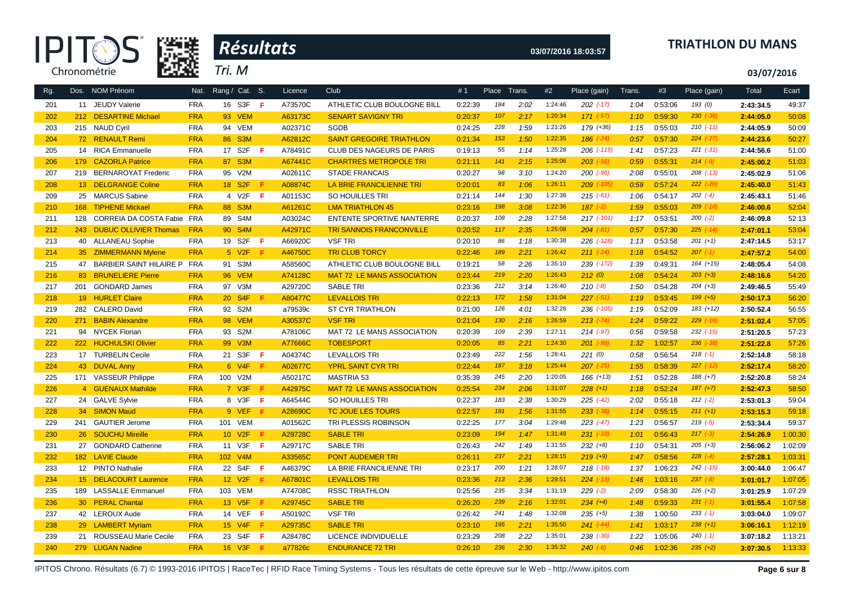



### **03/07/2016 18:03:57 TRIATHLON DU MANS**

**03/07/2016**

| Rg. |     | Dos. NOM Prénom              | Nat.       |    | Rang / Cat. S.      |     | Licence | Club                              | #1      | Place | Trans. | #2      | Place (gain)  | Trans. | #3      | Place (gain)  | Total     | Ecart   |
|-----|-----|------------------------------|------------|----|---------------------|-----|---------|-----------------------------------|---------|-------|--------|---------|---------------|--------|---------|---------------|-----------|---------|
| 201 |     | 11 JEUDY Valerie             | <b>FRA</b> | 16 | S3F                 | -F. | A73570C | ATHLETIC CLUB BOULOGNE BILL       | 0:22:39 | 184   | 2:02   | 1:24:46 | $202$ (-17)   | 1:04   | 0:53:06 | 193 (0)       | 2:43:34.5 | 49:37   |
| 202 |     | 212 DESARTINE Michael        | <b>FRA</b> |    | <b>93 VEM</b>       |     | A63173C | <b>SENART SAVIGNY TRI</b>         | 0:20:37 | 107   | 2:17   | 1:20:34 | $171$ $(-57)$ | 1:10   | 0:59:30 | $230$ $(-38)$ | 2:44:05.0 | 50:08   |
| 203 |     | 215 NAUD Cyril               | <b>FRA</b> |    | 94 VEM              |     | A02371C | <b>SGDB</b>                       | 0:24:25 | 228   | 1:59   | 1:21:26 | 179 (+36)     | 1:15   | 0:55:03 | $210(-11)$    | 2:44:05.9 | 50:09   |
| 204 |     | 72 RENAULT Remi              | <b>FRA</b> |    | 86 S3M              |     | A62812C | <b>SAINT GREGOIRE TRIATHLON</b>   | 0:21:34 | 153   | 1:50   | 1:22:35 | $186$ $(-24)$ | 0:57   | 0:57:30 | $224 (-27)$   | 2:44:23.6 | 50:27   |
| 205 |     | 14 RICA Emmanuelle           | <b>FRA</b> |    | 17 S2F              | -F. | A78491C | CLUB DES NAGEURS DE PARIS         | 0:19:13 | 55    | 1:14   | 1:25:28 | 206 (-119)    | 1:41   | 0:57:23 | $221 (-31)$   | 2:44:56.6 | 51:00   |
| 206 |     | 179 CAZORLA Patrice          | <b>FRA</b> |    | 87 S3M              |     | A67441C | <b>CHARTRES METROPOLE TRI</b>     | 0:21:11 | 141   | 2:15   | 1:25:06 | $203$ $(-56)$ | 0:59   | 0:55:31 | $214 (-9)$    | 2:45:00.2 | 51:03   |
| 207 | 219 | <b>BERNAROYAT Frederic</b>   | <b>FRA</b> |    | 95 V2M              |     | A02611C | <b>STADE FRANCAIS</b>             | 0:20:27 | 98    | 3:10   | 1:24:20 | $200$ $(-96)$ | 2:08   | 0:55:01 | $208$ $(-13)$ | 2:45:02.9 | 51:06   |
| 208 |     | 13 DELGRANGE Coline          | <b>FRA</b> |    | 18 S <sub>2F</sub>  | F.  | A08874C | LA BRIE FRANCILIENNE TRI          | 0:20:01 | 83    | 1:06   | 1:26:11 | 209 (-105)    | 0:59   | 0:57:24 | $222$ $(-20)$ | 2:45:40.0 | 51:43   |
| 209 |     | 25 MARCUS Sabine             | <b>FRA</b> |    | 4 V2F               | -F. | A01153C | SO HOUILLES TRI                   | 0:21:14 | 144   | 1:30   | 1:27:38 | $215$ (-61)   | 1:06   | 0:54:17 | $202$ $(-4)$  | 2:45:43.1 | 51:46   |
| 210 | 168 | <b>TIPHENE Mickael</b>       | <b>FRA</b> |    | 88 S3M              |     | A61261C | <b>LMA TRIATHLON 45</b>           | 0:23:16 | 198   | 3:08   | 1:22:36 | $187 (-2)$    | 1:59   | 0:55:03 | $209$ $(-10)$ | 2:46:00.6 | 52:04   |
| 211 | 128 | CORREIA DA COSTA Fabie FRA   |            |    | 89 S4M              |     | A03024C | ENTENTE SPORTIVE NANTERRE         | 0:20:37 | 108   | 2:28   | 1:27:58 | $217$ (-101)  | 1:17   | 0:53:51 | $200 (-2)$    | 2:46:09.8 | 52:13   |
| 212 | 243 | <b>DUBUC OLLIVIER Thomas</b> | <b>FRA</b> |    | 90 S4M              |     | A42971C | <b>TRI SANNOIS FRANCONVILLE</b>   | 0:20:52 | 117   | 2:35   | 1:25:08 | $204 (-81)$   | 0:57   | 0:57:30 | $225$ (-14)   | 2:47:01.1 | 53:04   |
| 213 |     | 40 ALLANEAU Sophie           | <b>FRA</b> |    | 19 S2F              | -F. | A66920C | <b>VSF TRI</b>                    | 0:20:10 | 86    | 1:18   | 1:30:38 | 226 (-128)    | 1:13   | 0:53:58 | $201 (+1)$    | 2:47:14.5 | 53:17   |
| 214 |     | 35 ZIMMERMANN Mylene         | <b>FRA</b> |    | 5 V2F               |     | A46750C | <b>TRI CLUB TORCY</b>             | 0:22:46 | 189   | 2:21   | 1:26:42 | $211 (-24)$   | 1:18   | 0:54:52 | $207$ $(-1)$  | 2:47:57.2 | 54:00   |
| 215 | 47  | BARBIER SAINT HILAIRE P FRA  |            |    | 91 S3M              |     | A58560C | ATHLETIC CLUB BOULOGNE BILL       | 0:19:21 | 58    | 2:26   | 1:35:10 | 239 (-172)    | 1:39   | 0:49:31 | $164 (+15)$   | 2:48:05.4 | 54:08   |
| 216 | 83  | <b>BRUNELIERE Pierre</b>     | <b>FRA</b> |    | <b>96 VEM</b>       |     | A74128C | <b>MAT 72 LE MANS ASSOCIATION</b> | 0:23:44 | 219   | 2:20   | 1:26:43 | 212(0)        | 1:08   | 0:54:24 | $203 (+3)$    | 2:48:16.6 | 54:20   |
| 217 | 201 | <b>GONDARD James</b>         | <b>FRA</b> |    | 97 V3M              |     | A29720C | <b>SABLE TRI</b>                  | 0:23:36 | 212   | 3:14   | 1:26:40 | $210(-8)$     | 1:50   | 0:54:28 | $204 (+3)$    | 2:49:46.5 | 55:49   |
| 218 |     | 19 HURLET Claire             | <b>FRA</b> |    | 20 S4F              | -F. | A80477C | <b>LEVALLOIS TRI</b>              | 0:22:13 | 172   | 1:58   | 1:31:04 | $227 (-51)$   | 1:19   | 0:53:45 | $199 (+5)$    | 2:50:17.3 | 56:20   |
| 219 | 282 | <b>CALERO David</b>          | <b>FRA</b> |    | 92 S2M              |     | a79539c | <b>ST CYR TRIATHLON</b>           | 0:21:00 | 126   | 4:01   | 1:32:26 | 236 (-105)    | 1:19   | 0:52:09 | $183 (+12)$   | 2:50:52.4 | 56:55   |
| 220 |     | 271 BABIN Alexandre          | <b>FRA</b> |    | <b>98 VEM</b>       |     | A30537C | <b>VSF TRI</b>                    | 0:21:04 | 130   | 2:16   | 1:26:59 | $213 (-74)$   | 1:24   | 0:59:22 | $229$ $(-16)$ | 2:51:02.4 | 57:05   |
| 221 |     | 94 NYCEK Florian             | <b>FRA</b> | 93 | S <sub>2</sub> M    |     | A78106C | MAT 72 LE MANS ASSOCIATION        | 0:20:39 | 109   | 2:39   | 1:27:11 | $214$ $(-97)$ | 0:56   | 0:59:58 | $232$ $(-15)$ | 2:51:20.5 | 57:23   |
| 222 |     | 222 HUCHULSKI Olivier        | <b>FRA</b> |    | 99 V3M              |     | A77666C | <b>TOBESPORT</b>                  | 0:20:05 | 85    | 2:21   | 1:24:30 | $201$ (-99)   | 1:32   | 1:02:57 | $236$ $(-38)$ | 2:51:22.8 | 57:26   |
| 223 |     | 17 TURBELIN Cecile           | <b>FRA</b> |    | 21 S3F              | -F. | A04374C | <b>LEVALLOIS TRI</b>              | 0:23:49 | 222   | 1:56   | 1:28:41 | 221(0)        | 0:58   | 0:56:54 | $218 (-1)$    | 2:52:14.8 | 58:18   |
| 224 |     | 43 DUVAL Anny                | <b>FRA</b> |    | 6 V <sub>4</sub> F  |     | A02677C | <b>YPRL SAINT CYR TRI</b>         | 0:22:44 | 187   | 3:18   | 1:25:44 | $207$ $(-25)$ | 1:55   | 0:58:39 | $227$ $(-12)$ | 2:52:17.4 | 58:20   |
| 225 |     | 171 VASSEUR Philippe         | <b>FRA</b> |    | 100 V2M             |     | A50217C | <b>MASTRIA 53</b>                 | 0:35:39 | 245   | 2:20   | 1:20:05 | $166 (+13)$   | 1:51   | 0:52:28 | $188 (+7)$    | 2:52:20.8 | 58:24   |
| 226 |     | 4 GUENAUX Mathilde           | <b>FRA</b> |    | $7$ V3F             | F.  | A42975C | <b>MAT 72 LE MANS ASSOCIATION</b> | 0:25:54 | 234   | 2:06   | 1:31:07 | $228 (+1)$    | 1:18   | 0:52:24 | $187 (+7)$    | 2:52:47.3 | 58:50   |
| 227 |     | 24 GALVE Sylvie              | <b>FRA</b> |    | 8 V3F               | -F. | A64544C | SO HOUILLES TRI                   | 0:22:37 | 183   | 2:38   | 1:30:29 | $225$ $(-42)$ | 2:02   | 0:55:18 | $212 (-2)$    | 2:53:01.3 | 59:04   |
| 228 |     | 34 SIMON Maud                | <b>FRA</b> |    | 9 VEF               | - F | A28690C | <b>TC JOUE LES TOURS</b>          | 0:22:57 | 191   | 1:56   | 1:31:55 | $233$ $(-38)$ | 1:14   | 0:55:15 | $211 (+1)$    | 2:53:15.3 | 59:18   |
| 229 |     | 241 GAUTIER Jerome           | <b>FRA</b> |    | 101 VEM             |     | A01562C | TRI PLESSIS ROBINSON              | 0:22:25 | 177   | 3:04   | 1:29:48 | $223( -47)$   | 1:23   | 0:56:57 | $219(-5)$     | 2:53:34.4 | 59:37   |
| 230 |     | 26 SOUCHU Mireille           | <b>FRA</b> |    | 10 V <sub>2</sub> F | -F. | A29728C | <b>SABLE TRI</b>                  | 0:23:09 | 194   | 1:47   | 1:31:49 | $231 (-33)$   | 1:01   | 0:56:43 | $217(-3)$     | 2:54:26.9 | 1:00:30 |
| 231 |     | 27 GONDARD Catherine         | <b>FRA</b> |    | 11 V3F              | -F. | A29717C | <b>SABLE TRI</b>                  | 0:26:43 | 242   | 1:49   | 1:31:55 | $232 (+8)$    | 1:10   | 0:54:31 | $205 (+3)$    | 2:56:06.2 | 1:02:09 |
| 232 |     | 182 LAVIE Claude             | <b>FRA</b> |    | 102 V4M             |     | A33565C | <b>PONT AUDEMER TRI</b>           | 0:26:11 | 237   | 2:21   | 1:28:15 | $219 (+9)$    | 1:47   | 0:58:56 | $228$ $(-4)$  | 2:57:28.1 | 1:03:31 |
| 233 |     | 12 PINTO Nathalie            | <b>FRA</b> |    | 22 S4F              | -F  | A46379C | LA BRIE FRANCILIENNE TRI          | 0:23:17 | 200   | 1:21   | 1:28:07 | $218$ $(-18)$ | 1:37   | 1:06:23 | 242 (-15)     | 3:00:44.0 | 1:06:47 |
| 234 |     | 15 DELACOURT Laurence        | <b>FRA</b> |    | 12 V <sub>2F</sub>  | -F  | A67801C | <b>LEVALLOIS TRI</b>              | 0:23:36 | 213   | 2:36   | 1:29:51 | $224$ (-13)   | 1:46   | 1:03:16 | $237 (-8)$    | 3:01:01.7 | 1:07:05 |
| 235 |     | 189 LASSALLE Emmanuel        | <b>FRA</b> |    | 103 VEM             |     | A74708C | <b>RSSC TRIATHLON</b>             | 0:25:56 | 235   | 3:34   | 1:31:19 | $229$ $(-2)$  | 2:09   | 0:58:30 | $226 (+2)$    | 3:01:25.9 | 1:07:29 |
| 236 |     | 30 PERAL Chantal             | <b>FRA</b> |    | 13 V <sub>5</sub> F | Æ   | A29745C | <b>SABLE TRI</b>                  | 0:26:20 | 239   | 2:16   | 1:32:01 | $234 (+4)$    | 1:48   | 0:59:33 | $231 (-1)$    | 3:01:55.4 | 1:07:58 |
| 237 |     | 42 LEROUX Aude               | <b>FRA</b> |    | 14 VEF              | - F | A50192C | <b>VSF TRI</b>                    | 0:26:42 | 241   | 1:48   | 1:32:08 | $235 (+5)$    | 1:38   | 1:00:50 | $233 (-1)$    | 3:03:04.0 | 1:09:07 |
| 238 |     | 29 LAMBERT Myriam            | <b>FRA</b> |    | 15 V4F              | Æ   | A29735C | <b>SABLE TRI</b>                  | 0:23:10 | 195   | 2:21   | 1:35:50 | $241 (-44)$   | 1:41   | 1:03:17 | $238 (+1)$    | 3:06:16.1 | 1:12:19 |
| 239 |     | 21 ROUSSEAU Marie Cecile     | <b>FRA</b> |    | 23 S4F              | -F. | A28478C | LICENCE INDIVIDUELLE              | 0:23:29 | 208   | 2:22   | 1:35:01 | $238 (+30)$   | 1:22   | 1:05:06 | $240 (-1)$    | 3:07:18.2 | 1:13:21 |
| 240 |     | 279 LUGAN Nadine             | <b>FRA</b> |    | 16 V3F              | -F  | a77826c | <b>ENDURANCE 72 TRI</b>           | 0:26:10 | 236   | 2:30   | 1:35:32 | $240 (-6)$    | 0:46   | 1:02:36 | $235 (+2)$    | 3:07:30.5 | 1:13:33 |

IPITOS Chrono. Résultats (6.7) © 1993-2016 IPITOS | RaceTec | RFID Race Timing Systems - Tous les résultats de cette épreuve sur le Web - http://www.ipitos.com **Page 6 sur 8**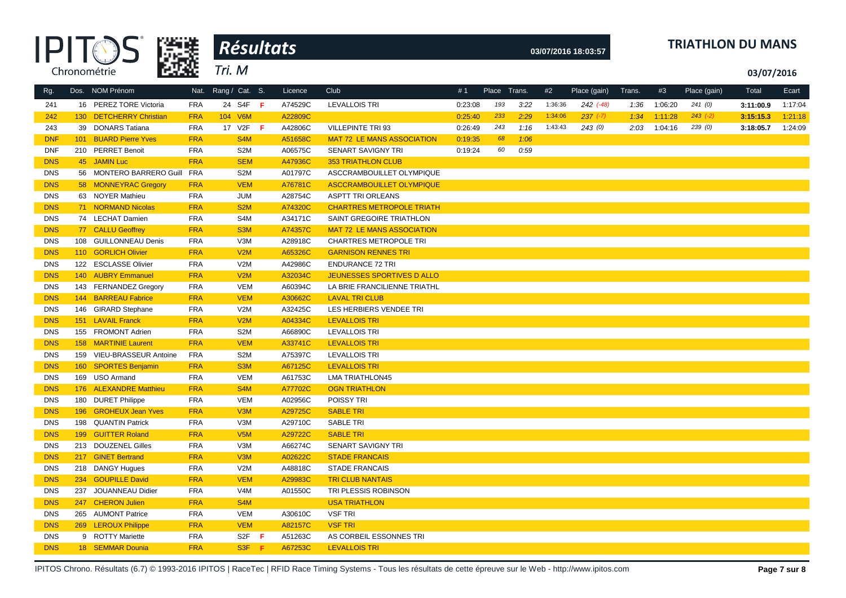|            |                           |            | Résultats                     |         |                                   |         |              |      |         | 03/07/2016 18:03:57 |        |         | <b>TRIATHLON DU MANS</b> |            |         |
|------------|---------------------------|------------|-------------------------------|---------|-----------------------------------|---------|--------------|------|---------|---------------------|--------|---------|--------------------------|------------|---------|
|            | Chronométrie              |            | Tri. M                        |         |                                   |         |              |      |         |                     |        |         |                          | 03/07/2016 |         |
| Rg.        | Dos. NOM Prénom           | Nat.       | Rang / Cat. S.                | Licence | <b>Club</b>                       | #1      | Place Trans. |      | #2      | Place (gain)        | Trans. | #3      | Place (gain)             | Total      | Ecart   |
| 241        | 16 PEREZ TORE Victoria    | <b>FRA</b> | 24 S4F F                      | A74529C | <b>LEVALLOIS TRI</b>              | 0:23:08 | 193          | 3:22 | 1:36:36 | $242$ $(-48)$       | 1:36   | 1:06:20 | 241(0)                   | 3:11:00.9  | 1:17:04 |
| 242        | 130 DETCHERRY Christian   | <b>FRA</b> | 104 V6M                       | A22809C |                                   | 0:25:40 | 233          | 2:29 | 1:34:06 | $237 (-7)$          | 1:34   | 1:11:28 | $243 (-2)$               | 3:15:15.3  | 1:21:18 |
| 243        | 39 DONARS Tatiana         | <b>FRA</b> | 17 V2F <b>F</b>               | A42806C | VILLEPINTE TRI 93                 | 0:26:49 | 243          | 1:16 | 1:43:43 | 243(0)              | 2:03   | 1:04:16 | 239(0)                   | 3:18:05.7  | 1:24:09 |
| <b>DNF</b> | 101 BUARD Pierre Yves     | <b>FRA</b> | S <sub>4</sub> M              | A51658C | <b>MAT 72 LE MANS ASSOCIATION</b> | 0:19:35 | 68           | 1:06 |         |                     |        |         |                          |            |         |
| <b>DNF</b> | 210 PERRET Benoit         | <b>FRA</b> | S <sub>2</sub> M              | A06575C | SENART SAVIGNY TRI                | 0:19:24 | 60           | 0:59 |         |                     |        |         |                          |            |         |
| <b>DNS</b> | 45 JAMIN Luc              | <b>FRA</b> | <b>SEM</b>                    | A47936C | <b>353 TRIATHLON CLUB</b>         |         |              |      |         |                     |        |         |                          |            |         |
| <b>DNS</b> | 56 MONTERO BARRERO Guill  | <b>FRA</b> | S <sub>2</sub> M              | A01797C | ASCCRAMBOUILLET OLYMPIQUE         |         |              |      |         |                     |        |         |                          |            |         |
| <b>DNS</b> | 58 MONNEYRAC Gregory      | <b>FRA</b> | <b>VEM</b>                    | A76781C | ASCCRAMBOUILLET OLYMPIQUE         |         |              |      |         |                     |        |         |                          |            |         |
| <b>DNS</b> | 63 NOYER Mathieu          | <b>FRA</b> | <b>JUM</b>                    | A28754C | <b>ASPTT TRI ORLEANS</b>          |         |              |      |         |                     |        |         |                          |            |         |
| <b>DNS</b> | 71 NORMAND Nicolas        | <b>FRA</b> | S <sub>2</sub> M              | A74320C | <b>CHARTRES METROPOLE TRIATH</b>  |         |              |      |         |                     |        |         |                          |            |         |
| <b>DNS</b> | 74 LECHAT Damien          | <b>FRA</b> | S4M                           | A34171C | SAINT GREGOIRE TRIATHLON          |         |              |      |         |                     |        |         |                          |            |         |
| <b>DNS</b> | 77 CALLU Geoffrey         | <b>FRA</b> | S <sub>3</sub> M              | A74357C | <b>MAT 72 LE MANS ASSOCIATION</b> |         |              |      |         |                     |        |         |                          |            |         |
| <b>DNS</b> | 108 GUILLONNEAU Denis     | <b>FRA</b> | V3M                           | A28918C | <b>CHARTRES METROPOLE TRI</b>     |         |              |      |         |                     |        |         |                          |            |         |
| <b>DNS</b> | 110 GORLICH Olivier       | <b>FRA</b> | V2M                           | A65326C | <b>GARNISON RENNES TRI</b>        |         |              |      |         |                     |        |         |                          |            |         |
| <b>DNS</b> | 122 ESCLASSE Olivier      | <b>FRA</b> | V2M                           | A42986C | <b>ENDURANCE 72 TRI</b>           |         |              |      |         |                     |        |         |                          |            |         |
| <b>DNS</b> | 140 AUBRY Emmanuel        | <b>FRA</b> | V2M                           | A32034C | JEUNESSES SPORTIVES D ALLO        |         |              |      |         |                     |        |         |                          |            |         |
| <b>DNS</b> | 143 FERNANDEZ Gregory     | <b>FRA</b> | <b>VEM</b>                    | A60394C | LA BRIE FRANCILIENNE TRIATHL      |         |              |      |         |                     |        |         |                          |            |         |
| <b>DNS</b> | 144 BARREAU Fabrice       | <b>FRA</b> | <b>VEM</b>                    | A30662C | <b>LAVAL TRI CLUB</b>             |         |              |      |         |                     |        |         |                          |            |         |
| <b>DNS</b> | 146 GIRARD Stephane       | <b>FRA</b> | V2M                           | A32425C | LES HERBIERS VENDEE TRI           |         |              |      |         |                     |        |         |                          |            |         |
| <b>DNS</b> | 151 LAVAIL Franck         | <b>FRA</b> | V2M                           | A04334C | <b>LEVALLOIS TRI</b>              |         |              |      |         |                     |        |         |                          |            |         |
| <b>DNS</b> | 155 FROMONT Adrien        | <b>FRA</b> | S <sub>2</sub> M              | A66890C | LEVALLOIS TRI                     |         |              |      |         |                     |        |         |                          |            |         |
| <b>DNS</b> | 158 MARTINIE Laurent      | <b>FRA</b> | <b>VEM</b>                    | A33741C | <b>LEVALLOIS TRI</b>              |         |              |      |         |                     |        |         |                          |            |         |
| <b>DNS</b> | 159 VIEU-BRASSEUR Antoine | <b>FRA</b> | S <sub>2</sub> M              | A75397C | <b>LEVALLOIS TRI</b>              |         |              |      |         |                     |        |         |                          |            |         |
| <b>DNS</b> | 160 SPORTES Benjamin      | <b>FRA</b> | S <sub>3</sub> M              | A67125C | <b>LEVALLOIS TRI</b>              |         |              |      |         |                     |        |         |                          |            |         |
| <b>DNS</b> | 169 USO Armand            | <b>FRA</b> | <b>VEM</b>                    | A61753C | <b>LMA TRIATHLON45</b>            |         |              |      |         |                     |        |         |                          |            |         |
| <b>DNS</b> | 176 ALEXANDRE Matthieu    | <b>FRA</b> | S <sub>4</sub> M              | A77702C | <b>OGN TRIATHLON</b>              |         |              |      |         |                     |        |         |                          |            |         |
| <b>DNS</b> | 180 DURET Philippe        | <b>FRA</b> | <b>VEM</b>                    | A02956C | POISSY TRI                        |         |              |      |         |                     |        |         |                          |            |         |
| <b>DNS</b> | 196 GROHEUX Jean Yves     | <b>FRA</b> | V3M                           | A29725C | <b>SABLE TRI</b>                  |         |              |      |         |                     |        |         |                          |            |         |
| <b>DNS</b> | 198 QUANTIN Patrick       | <b>FRA</b> | V3M                           | A29710C | SABLE TRI                         |         |              |      |         |                     |        |         |                          |            |         |
| <b>DNS</b> | 199 GUITTER Roland        | <b>FRA</b> | V5M                           | A29722C | <b>SABLE TRI</b>                  |         |              |      |         |                     |        |         |                          |            |         |
| <b>DNS</b> | 213 DOUZENEL Gilles       | <b>FRA</b> | V3M                           | A66274C | SENART SAVIGNY TRI                |         |              |      |         |                     |        |         |                          |            |         |
| <b>DNS</b> | 217 GINET Bertrand        | <b>FRA</b> | V <sub>3</sub> M              | A02622C | <b>STADE FRANCAIS</b>             |         |              |      |         |                     |        |         |                          |            |         |
| <b>DNS</b> | 218 DANGY Hugues          | <b>FRA</b> | V2M                           | A48818C | <b>STADE FRANCAIS</b>             |         |              |      |         |                     |        |         |                          |            |         |
| <b>DNS</b> | 234 GOUPILLE David        | <b>FRA</b> | <b>VEM</b>                    | A29983C | <b>TRI CLUB NANTAIS</b>           |         |              |      |         |                     |        |         |                          |            |         |
| <b>DNS</b> | 237 JOUANNEAU Didier      | <b>FRA</b> | V4M                           | A01550C | TRI PLESSIS ROBINSON              |         |              |      |         |                     |        |         |                          |            |         |
| <b>DNS</b> | 247 CHERON Julien         | <b>FRA</b> | S <sub>4</sub> M              |         | <b>USA TRIATHLON</b>              |         |              |      |         |                     |        |         |                          |            |         |
| <b>DNS</b> | 265 AUMONT Patrice        | <b>FRA</b> | <b>VEM</b>                    | A30610C | <b>VSF TRI</b>                    |         |              |      |         |                     |        |         |                          |            |         |
| <b>DNS</b> | 269 LEROUX Philippe       | <b>FRA</b> | <b>VEM</b>                    | A82157C | <b>VSF TRI</b>                    |         |              |      |         |                     |        |         |                          |            |         |
| <b>DNS</b> | 9 ROTTY Mariette          | <b>FRA</b> | S <sub>2</sub> F <sub>F</sub> | A51263C | AS CORBEIL ESSONNES TRI           |         |              |      |         |                     |        |         |                          |            |         |
| <b>DNS</b> | 18 SEMMAR Dounia          | <b>FRA</b> | S3F F                         | A67253C | <b>LEVALLOIS TRI</b>              |         |              |      |         |                     |        |         |                          |            |         |

IPITOS Chrono. Résultats (6.7) © 1993-2016 IPITOS | RaceTec | RFID Race Timing Systems - Tous les résultats de cette épreuve sur le Web - http://www.ipitos.com **Page 7 sur 8**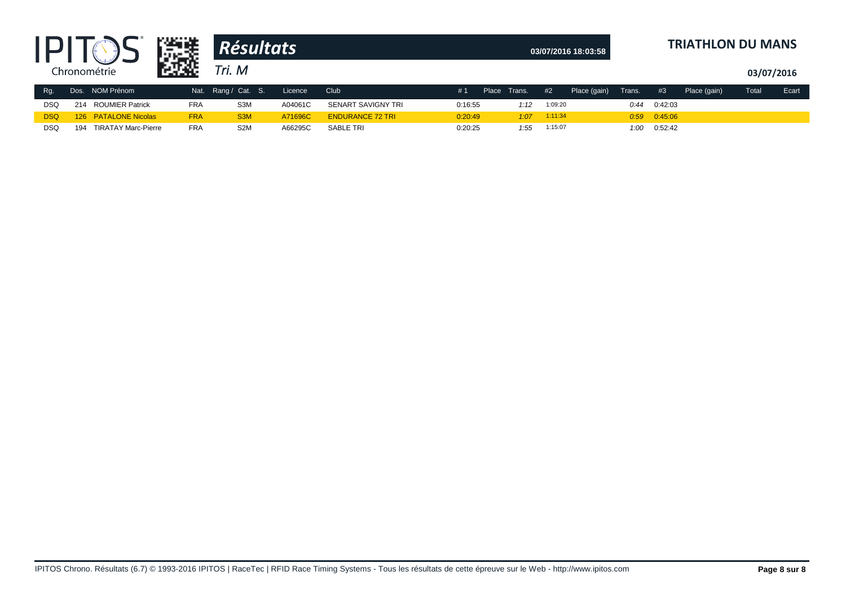|            |     |                            | 鶅キ         | <b>Résultats</b> |         |                         |         |       |        |         | 03/07/2016 18:03:58 |        |                  | <b>TRIATHLON DU MANS</b> |            |       |
|------------|-----|----------------------------|------------|------------------|---------|-------------------------|---------|-------|--------|---------|---------------------|--------|------------------|--------------------------|------------|-------|
|            |     | Chronométrie               | ПQ         | Tri. M           |         |                         |         |       |        |         |                     |        |                  |                          | 03/07/2016 |       |
| $Rg$ .     |     | Dos. NOM Prénom            | Nat.       | Rang / Cat. S.   | Licence | Club                    | #1      | Place | Trans. | #2      | Place (gain)        | Trans. | #3               | Place (gain)             | Total      | Ecart |
| <b>DSQ</b> | 214 | <b>ROUMIER Patrick</b>     | <b>FRA</b> | S <sub>3</sub> M | A04061C | SENART SAVIGNY TRI      | 0:16:55 |       | 1:12   | 1:09:20 |                     | 0:44   | 0:42:03          |                          |            |       |
| DSQ        |     | 126 PATALONE Nicolas       | <b>FRA</b> | S <sub>3</sub> M | A71696C | <b>ENDURANCE 72 TRI</b> | 0:20:49 |       | 1:07   | 1:11:34 |                     |        | $0.59$ $0.45.06$ |                          |            |       |
| <b>DSQ</b> | 194 | <b>TIRATAY Marc-Pierre</b> | <b>FRA</b> | S <sub>2</sub> M | A66295C | SABLE TRI               | 0:20:25 |       | 1:55   | 1:15:07 |                     | 1:00   | 0:52:42          |                          |            |       |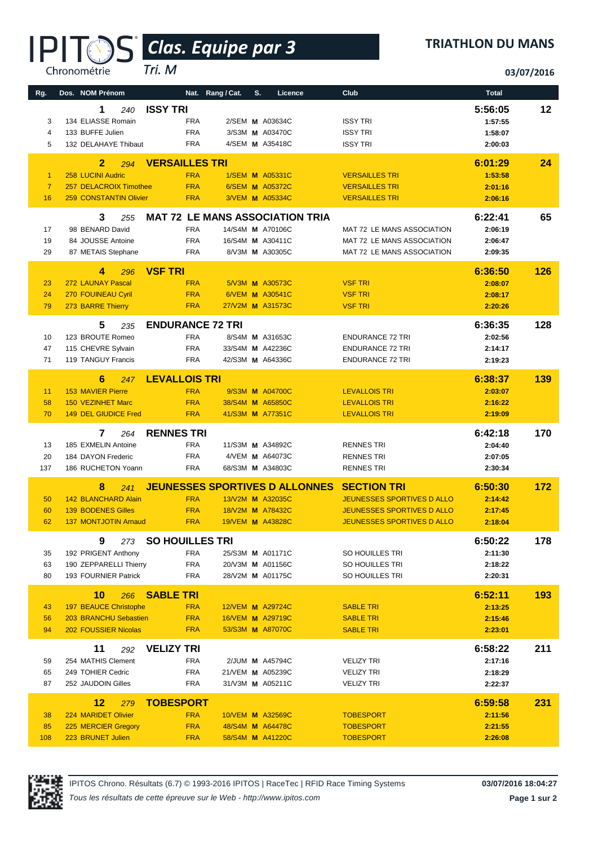# *Clas. Equipe par 3* **®**

*Tri. M*

Chronométrie

#### **TRIATHLON DU MANS**

**03/07/2016**

| Rg.                  | Dos. NOM Prénom                          | Nat. Rang / Cat.         |                  | S.<br>Licence                          | Club                                   | <b>Total</b>       |     |
|----------------------|------------------------------------------|--------------------------|------------------|----------------------------------------|----------------------------------------|--------------------|-----|
|                      | 1<br>240                                 | <b>ISSY TRI</b>          |                  |                                        |                                        | 5:56:05            | 12  |
| 3                    | 134 ELIASSE Romain                       | <b>FRA</b>               |                  | 2/SEM M A03634C                        | <b>ISSY TRI</b>                        | 1:57:55            |     |
| 4                    | 133 BUFFE Julien                         | <b>FRA</b>               |                  | 3/S3M M A03470C                        | <b>ISSY TRI</b>                        | 1:58:07            |     |
| 5                    | 132 DELAHAYE Thibaut                     | <b>FRA</b>               |                  | 4/SEM M A35418C                        | <b>ISSY TRI</b>                        | 2:00:03            |     |
|                      | $\overline{2}$                           | <b>VERSAILLES TRI</b>    |                  |                                        |                                        | 6:01:29            | 24  |
| $\blacktriangleleft$ | 294<br>258 LUCINI Audric                 | <b>FRA</b>               |                  | 1/SEM <b>M</b> A05331C                 | <b>VERSAILLES TRI</b>                  | 1:53:58            |     |
| $\overline{7}$       | 257 DELACROIX Timothee                   | <b>FRA</b>               |                  | 6/SEM M A05372C                        | <b>VERSAILLES TRI</b>                  | 2:01:16            |     |
| 16                   | <b>259 CONSTANTIN Olivier</b>            | <b>FRA</b>               |                  | 3/VEM M A05334C                        | <b>VERSAILLES TRI</b>                  | 2:06:16            |     |
|                      |                                          |                          |                  |                                        |                                        |                    |     |
| 17                   | 3<br>255<br>98 BENARD David              | <b>FRA</b>               | 14/S4M M A70106C | <b>MAT 72 LE MANS ASSOCIATION TRIA</b> | MAT 72 LE MANS ASSOCIATION             | 6:22:41<br>2:06:19 | 65  |
| 19                   | 84 JOUSSE Antoine                        | <b>FRA</b>               | 16/S4M M A30411C |                                        | MAT 72 LE MANS ASSOCIATION             | 2:06:47            |     |
| 29                   | 87 METAIS Stephane                       | <b>FRA</b>               |                  | 8/V3M M A30305C                        | MAT 72 LE MANS ASSOCIATION             | 2:09:35            |     |
|                      |                                          |                          |                  |                                        |                                        |                    |     |
|                      | 4<br>296                                 | <b>VSF TRI</b>           |                  |                                        |                                        | 6:36:50            | 126 |
| 23                   | 272 LAUNAY Pascal                        | <b>FRA</b><br><b>FRA</b> |                  | 5/V3M M A30573C<br>6/VEM M A30541C     | <b>VSF TRI</b><br><b>VSF TRI</b>       | 2:08:07            |     |
| 24<br>79             | 270 FOUINEAU Cyril<br>273 BARRE Thierry  | <b>FRA</b>               | 27/V2M M A31573C |                                        | <b>VSF TRI</b>                         | 2:08:17<br>2:20:26 |     |
|                      |                                          |                          |                  |                                        |                                        |                    |     |
|                      | 5<br>235                                 | <b>ENDURANCE 72 TRI</b>  |                  |                                        |                                        | 6:36:35            | 128 |
| 10                   | 123 BROUTE Romeo                         | <b>FRA</b>               |                  | 8/S4M M A31653C                        | <b>ENDURANCE 72 TRI</b>                | 2:02:56            |     |
| 47                   | 115 CHEVRE Sylvain                       | <b>FRA</b>               | 33/S4M M A42236C |                                        | <b>ENDURANCE 72 TRI</b>                | 2:14:17            |     |
| 71                   | 119 TANGUY Francis                       | <b>FRA</b>               | 42/S3M M A64336C |                                        | <b>ENDURANCE 72 TRI</b>                | 2:19:23            |     |
|                      | 6<br>247                                 | <b>LEVALLOIS TRI</b>     |                  |                                        |                                        | 6:38:37            | 139 |
| 11                   | <b>153 MAVIER Pierre</b>                 | <b>FRA</b>               |                  | 9/S3M M A04700C                        | <b>LEVALLOIS TRI</b>                   | 2:03:07            |     |
| 58                   | <b>150 VEZINHET Marc</b>                 | <b>FRA</b>               | 38/S4M M A65850C |                                        | <b>LEVALLOIS TRI</b>                   | 2:16:22            |     |
| 70                   | 149 DEL GIUDICE Fred                     | <b>FRA</b>               | 41/S3M M A77351C |                                        | <b>LEVALLOIS TRI</b>                   | 2:19:09            |     |
|                      | 7<br>264                                 | <b>RENNES TRI</b>        |                  |                                        |                                        | 6:42:18            | 170 |
| 13                   | 185 EXMELIN Antoine                      | <b>FRA</b>               | 11/S3M M A34892C |                                        | <b>RENNES TRI</b>                      | 2:04:40            |     |
| 20                   | 184 DAYON Frederic                       | <b>FRA</b>               |                  | 4/VEM M A64073C                        | <b>RENNES TRI</b>                      | 2:07:05            |     |
| 137                  | 186 RUCHETON Yoann                       | <b>FRA</b>               | 68/S3M M A34803C |                                        | <b>RENNES TRI</b>                      | 2:30:34            |     |
|                      | 8<br>241                                 |                          |                  | <b>JEUNESSES SPORTIVES D ALLONNES</b>  | <b>SECTION TRI</b>                     | 6:50:30            | 172 |
| 50                   | 142 BLANCHARD Alain                      | <b>FRA</b>               | 13/V2M M A32035C |                                        | <b>JEUNESSES SPORTIVES D ALLO</b>      | 2:14:42            |     |
| 60                   | <b>139 BODENES Gilles</b>                | <b>FRA</b>               | 18/V2M M A78432C |                                        | <b>JEUNESSES SPORTIVES D ALLO</b>      | 2:17:45            |     |
| 62                   | <b>137 MONTJOTIN Arnaud</b>              | <b>FRA</b>               | 19/VEM M A43828C |                                        | <b>JEUNESSES SPORTIVES D ALLO</b>      | 2:18:04            |     |
|                      | 9<br>273                                 | <b>SO HOUILLES TRI</b>   |                  |                                        |                                        | 6:50:22            | 178 |
| 35                   | 192 PRIGENT Anthony                      | <b>FRA</b>               | 25/S3M M A01171C |                                        | SO HOUILLES TRI                        | 2:11:30            |     |
| 63                   | 190 ZEPPARELLI Thierry                   | <b>FRA</b>               | 20/V3M M A01156C |                                        | SO HOUILLES TRI                        | 2:18:22            |     |
| 80                   | 193 FOURNIER Patrick                     | <b>FRA</b>               |                  | 28/V2M M A01175C                       | SO HOUILLES TRI                        | 2:20:31            |     |
|                      | 10                                       | <b>SABLE TRI</b>         |                  |                                        |                                        | 6:52:11            | 193 |
| 43                   | 266<br><b>197 BEAUCE Christophe</b>      | <b>FRA</b>               | 12/VEM M A29724C |                                        | <b>SABLE TRI</b>                       | 2:13:25            |     |
| 56                   | 203 BRANCHU Sebastien                    | <b>FRA</b>               | 16/VEM M A29719C |                                        | <b>SABLE TRI</b>                       | 2:15:46            |     |
| 94                   | 202 FOUSSIER Nicolas                     | <b>FRA</b>               |                  | 53/S3M M A87070C                       | <b>SABLE TRI</b>                       | 2:23:01            |     |
|                      |                                          |                          |                  |                                        |                                        |                    |     |
|                      | 11<br>292                                | <b>VELIZY TRI</b>        |                  |                                        |                                        | 6:58:22            | 211 |
| 59<br>65             | 254 MATHIS Clement<br>249 TOHIER Cedric  | <b>FRA</b><br><b>FRA</b> | 21/VEM M A05239C | 2/JUM <b>M</b> A45794C                 | <b>VELIZY TRI</b><br><b>VELIZY TRI</b> | 2:17:16<br>2:18:29 |     |
| 87                   | 252 JAUDOIN Gilles                       | <b>FRA</b>               |                  | 31/V3M M A05211C                       | <b>VELIZY TRI</b>                      | 2:22:37            |     |
|                      |                                          |                          |                  |                                        |                                        |                    |     |
|                      | 12<br>279                                | <b>TOBESPORT</b>         |                  |                                        |                                        | 6:59:58            | 231 |
| 38                   | 224 MARIDET Olivier                      | <b>FRA</b>               | 10/VEM M A32569C |                                        | <b>TOBESPORT</b>                       | 2:11:56            |     |
| 85<br>108            | 225 MERCIER Gregory<br>223 BRUNET Julien | <b>FRA</b><br><b>FRA</b> | 48/S4M M A64478C |                                        | <b>TOBESPORT</b><br><b>TOBESPORT</b>   | 2:21:55            |     |
|                      |                                          |                          | 58/S4M M A41220C |                                        |                                        | 2:26:08            |     |